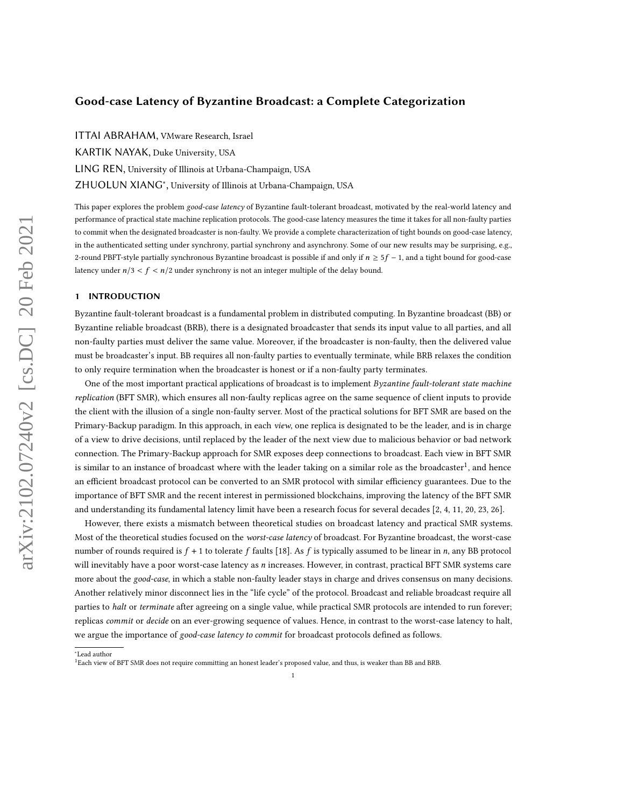ITTAI ABRAHAM, VMware Research, Israel KARTIK NAYAK, Duke University, USA LING REN, University of Illinois at Urbana-Champaign, USA ZHUOLUN XIANG<sup>∗</sup> , University of Illinois at Urbana-Champaign, USA

This paper explores the problem good-case latency of Byzantine fault-tolerant broadcast, motivated by the real-world latency and performance of practical state machine replication protocols. The good-case latency measures the time it takes for all non-faulty parties to commit when the designated broadcaster is non-faulty. We provide a complete characterization of tight bounds on good-case latency, in the authenticated setting under synchrony, partial synchrony and asynchrony. Some of our new results may be surprising, e.g., 2-round PBFT-style partially synchronous Byzantine broadcast is possible if and only if  $n \geq 5f - 1$ , and a tight bound for good-case latency under  $n/3 < f < n/2$  under synchrony is not an integer multiple of the delay bound.

### <span id="page-0-1"></span>1 INTRODUCTION

Byzantine fault-tolerant broadcast is a fundamental problem in distributed computing. In Byzantine broadcast (BB) or Byzantine reliable broadcast (BRB), there is a designated broadcaster that sends its input value to all parties, and all non-faulty parties must deliver the same value. Moreover, if the broadcaster is non-faulty, then the delivered value must be broadcaster's input. BB requires all non-faulty parties to eventually terminate, while BRB relaxes the condition to only require termination when the broadcaster is honest or if a non-faulty party terminates.

One of the most important practical applications of broadcast is to implement Byzantine fault-tolerant state machine replication (BFT SMR), which ensures all non-faulty replicas agree on the same sequence of client inputs to provide the client with the illusion of a single non-faulty server. Most of the practical solutions for BFT SMR are based on the Primary-Backup paradigm. In this approach, in each view, one replica is designated to be the leader, and is in charge of a view to drive decisions, until replaced by the leader of the next view due to malicious behavior or bad network connection. The Primary-Backup approach for SMR exposes deep connections to broadcast. Each view in BFT SMR is similar to an instance of broadcast where with the leader taking on a similar role as the broadcaster $^1$  $^1$ , and hence an efficient broadcast protocol can be converted to an SMR protocol with similar efficiency guarantees. Due to the importance of BFT SMR and the recent interest in permissioned blockchains, improving the latency of the BFT SMR and understanding its fundamental latency limit have been a research focus for several decades [\[2,](#page-20-0) [4,](#page-20-1) [11,](#page-20-2) [20,](#page-20-3) [23,](#page-20-4) [26\]](#page-20-5).

However, there exists a mismatch between theoretical studies on broadcast latency and practical SMR systems. Most of the theoretical studies focused on the worst-case latency of broadcast. For Byzantine broadcast, the worst-case number of rounds required is  $f + 1$  to tolerate f faults [\[18\]](#page-20-6). As f is typically assumed to be linear in n, any BB protocol will inevitably have a poor worst-case latency as *n* increases. However, in contrast, practical BFT SMR systems care more about the good-case, in which a stable non-faulty leader stays in charge and drives consensus on many decisions. Another relatively minor disconnect lies in the "life cycle" of the protocol. Broadcast and reliable broadcast require all parties to halt or terminate after agreeing on a single value, while practical SMR protocols are intended to run forever; replicas commit or decide on an ever-growing sequence of values. Hence, in contrast to the worst-case latency to halt, we argue the importance of good-case latency to commit for broadcast protocols defined as follows.

<sup>∗</sup>Lead author

<span id="page-0-0"></span><sup>1</sup>Each view of BFT SMR does not require committing an honest leader's proposed value, and thus, is weaker than BB and BRB.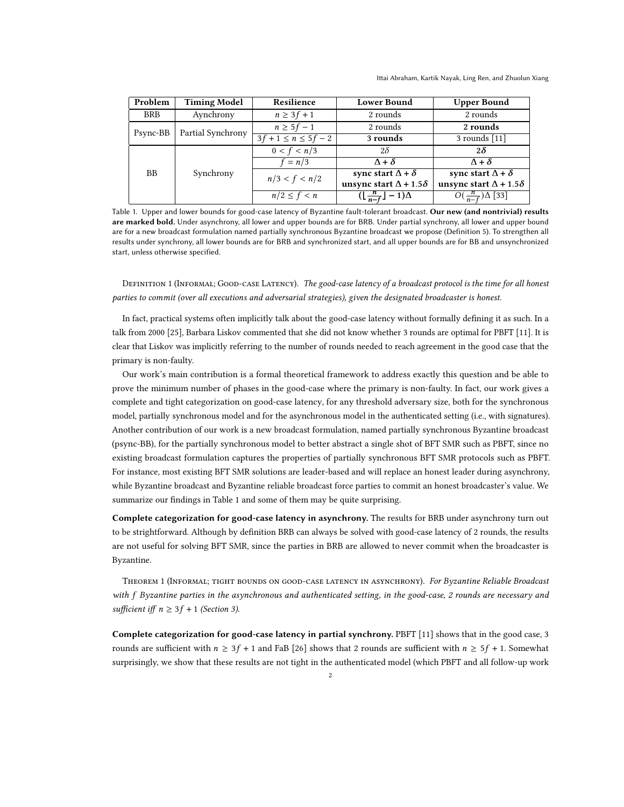Ittai Abraham, Kartik Nayak, Ling Ren, and Zhuolun Xiang

<span id="page-1-0"></span>

| Problem    | <b>Timing Model</b> | Resilience                | <b>Lower Bound</b>                          | <b>Upper Bound</b>                   |
|------------|---------------------|---------------------------|---------------------------------------------|--------------------------------------|
| <b>BRB</b> | Aynchrony           | $n \geq 3f + 1$           | 2 rounds                                    | 2 rounds                             |
| Psync-BB   | Partial Synchrony   | $n \geq 5f-1$             | 2 rounds                                    | 2 rounds                             |
|            |                     | $3f + 1 \le n \le 5f - 2$ | 3 rounds                                    | $3$ rounds [11]                      |
| <b>BB</b>  | Synchrony           | 0 < f < n/3               | $2\delta$                                   | $2\delta$                            |
|            |                     | $f = n/3$                 | $\Lambda + \delta$                          | $\Lambda + \delta$                   |
|            |                     | n/3 < f < n/2             | sync start $\Delta + \delta$                | sync start $\Delta + \delta$         |
|            |                     |                           | unsync start $\Delta$ + 1.5 $\delta$        | unsync start $\Delta$ + 1.5 $\delta$ |
|            |                     | $n/2 \leq f < n$          | $(\lfloor \frac{n}{n-f} \rfloor - 1)\Delta$ | $O(\frac{n}{n-f})\Delta$ [33]        |

Table 1. Upper and lower bounds for good-case latency of Byzantine fault-tolerant broadcast. Our new (and nontrivial) results are marked bold. Under asynchrony, all lower and upper bounds are for BRB. Under partial synchrony, all lower and upper bound are for a new broadcast formulation named partially synchronous Byzantine broadcast we propose (Definition [5\)](#page-4-0). To strengthen all results under synchrony, all lower bounds are for BRB and synchronized start, and all upper bounds are for BB and unsynchronized start, unless otherwise specified.

DEFINITION 1 (INFORMAL; GOOD-CASE LATENCY). The good-case latency of a broadcast protocol is the time for all honest parties to commit (over all executions and adversarial strategies), given the designated broadcaster is honest.

In fact, practical systems often implicitly talk about the good-case latency without formally defining it as such. In a talk from 2000 [\[25\]](#page-20-7), Barbara Liskov commented that she did not know whether 3 rounds are optimal for PBFT [\[11\]](#page-20-2). It is clear that Liskov was implicitly referring to the number of rounds needed to reach agreement in the good case that the primary is non-faulty.

Our work's main contribution is a formal theoretical framework to address exactly this question and be able to prove the minimum number of phases in the good-case where the primary is non-faulty. In fact, our work gives a complete and tight categorization on good-case latency, for any threshold adversary size, both for the synchronous model, partially synchronous model and for the asynchronous model in the authenticated setting (i.e., with signatures). Another contribution of our work is a new broadcast formulation, named partially synchronous Byzantine broadcast (psync-BB), for the partially synchronous model to better abstract a single shot of BFT SMR such as PBFT, since no existing broadcast formulation captures the properties of partially synchronous BFT SMR protocols such as PBFT. For instance, most existing BFT SMR solutions are leader-based and will replace an honest leader during asynchrony, while Byzantine broadcast and Byzantine reliable broadcast force parties to commit an honest broadcaster's value. We summarize our findings in Table [1](#page-1-0) and some of them may be quite surprising.

Complete categorization for good-case latency in asynchrony. The results for BRB under asynchrony turn out to be strightforward. Although by definition BRB can always be solved with good-case latency of 2 rounds, the results are not useful for solving BFT SMR, since the parties in BRB are allowed to never commit when the broadcaster is Byzantine.

THEOREM 1 (INFORMAL; TIGHT BOUNDS ON GOOD-CASE LATENCY IN ASYNCHRONY). For Byzantine Reliable Broadcast with f Byzantine parties in the asynchronous and authenticated setting, in the good-case, 2 rounds are necessary and sufficient iff  $n \geq 3f + 1$  (Section [3\)](#page-5-0).

Complete categorization for good-case latency in partial synchrony. PBFT [\[11\]](#page-20-2) shows that in the good case, 3 rounds are sufficient with  $n \geq 3f + 1$  and FaB [\[26\]](#page-20-5) shows that 2 rounds are sufficient with  $n \geq 5f + 1$ . Somewhat surprisingly, we show that these results are not tight in the authenticated model (which PBFT and all follow-up work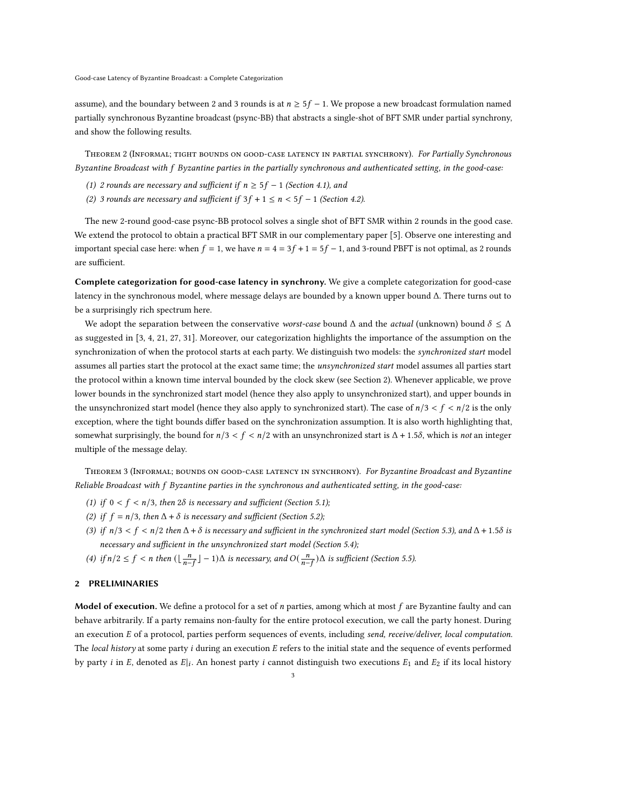assume), and the boundary between 2 and 3 rounds is at  $n \geq 5f - 1$ . We propose a new broadcast formulation named partially synchronous Byzantine broadcast (psync-BB) that abstracts a single-shot of BFT SMR under partial synchrony, and show the following results.

THEOREM 2 (INFORMAL; TIGHT BOUNDS ON GOOD-CASE LATENCY IN PARTIAL SYNCHRONY). For Partially Synchronous Byzantine Broadcast with f Byzantine parties in the partially synchronous and authenticated setting, in the good-case:

- (1) 2 rounds are necessary and sufficient if  $n \geq 5f 1$  (Section [4.1\)](#page-7-0), and
- (2) 3 rounds are necessary and sufficient if  $3f + 1 \le n < 5f 1$  (Section [4.2\)](#page-9-0).

The new 2-round good-case psync-BB protocol solves a single shot of BFT SMR within 2 rounds in the good case. We extend the protocol to obtain a practical BFT SMR in our complementary paper [\[5\]](#page-20-8). Observe one interesting and important special case here: when  $f = 1$ , we have  $n = 4 = 3f + 1 = 5f - 1$ , and 3-round PBFT is not optimal, as 2 rounds are sufficient.

Complete categorization for good-case latency in synchrony. We give a complete categorization for good-case latency in the synchronous model, where message delays are bounded by a known upper bound Δ. There turns out to be a surprisingly rich spectrum here.

We adopt the separation between the conservative worst-case bound  $\Delta$  and the actual (unknown) bound  $\delta \leq \Delta$ as suggested in [\[3,](#page-20-9) [4,](#page-20-1) [21,](#page-20-10) [27,](#page-20-11) [31\]](#page-21-1). Moreover, our categorization highlights the importance of the assumption on the synchronization of when the protocol starts at each party. We distinguish two models: the synchronized start model assumes all parties start the protocol at the exact same time; the *unsynchronized start* model assumes all parties start the protocol within a known time interval bounded by the clock skew (see Section [2\)](#page-2-0). Whenever applicable, we prove lower bounds in the synchronized start model (hence they also apply to unsynchronized start), and upper bounds in the unsynchronized start model (hence they also apply to synchronized start). The case of  $n/3 < f < n/2$  is the only exception, where the tight bounds differ based on the synchronization assumption. It is also worth highlighting that, somewhat surprisingly, the bound for  $n/3 < f < n/2$  with an unsynchronized start is  $\Delta + 1.5\delta$ , which is not an integer multiple of the message delay.

THEOREM 3 (INFORMAL; BOUNDS ON GOOD-CASE LATENCY IN SYNCHRONY). For Byzantine Broadcast and Byzantine Reliable Broadcast with f Byzantine parties in the synchronous and authenticated setting, in the good-case:

- (1) if  $0 < f < n/3$ , then  $2\delta$  is necessary and sufficient (Section [5.1\)](#page-12-0);
- (2) if  $f = n/3$ , then  $\Delta + \delta$  is necessary and sufficient (Section [5.2\)](#page-12-1);
- (3) if  $n/3 < f < n/2$  then  $\Delta + \delta$  is necessary and sufficient in the synchronized start model (Section [5.3\)](#page-13-0), and  $\Delta + 1.5\delta$  is necessary and sufficient in the unsynchronized start model (Section [5.4\)](#page-14-0);
- (4) if  $n/2 \le f < n$  then  $(\lfloor \frac{n}{n-f} \rfloor 1)\Delta$  is necessary, and  $O(\frac{n}{n-f})\Delta$  is sufficient (Section [5.5\)](#page-19-0).

#### <span id="page-2-0"></span>2 PRELIMINARIES

Model of execution. We define a protocol for a set of  $n$  parties, among which at most  $f$  are Byzantine faulty and can behave arbitrarily. If a party remains non-faulty for the entire protocol execution, we call the party honest. During an execution E of a protocol, parties perform sequences of events, including send, receive/deliver, local computation. The local history at some party *i* during an execution  $E$  refers to the initial state and the sequence of events performed by party *i* in E, denoted as  $E|_i$ . An honest party *i* cannot distinguish two executions  $E_1$  and  $E_2$  if its local history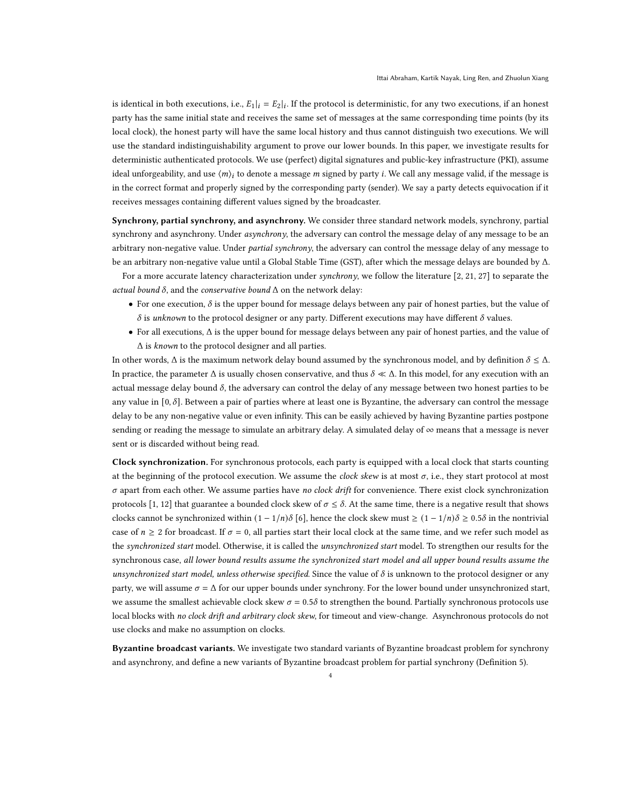is identical in both executions, i.e.,  $E_1|_i = E_2|_i$ . If the protocol is deterministic, for any two executions, if an honest party has the same initial state and receives the same set of messages at the same corresponding time points (by its local clock), the honest party will have the same local history and thus cannot distinguish two executions. We will use the standard indistinguishability argument to prove our lower bounds. In this paper, we investigate results for deterministic authenticated protocols. We use (perfect) digital signatures and public-key infrastructure (PKI), assume ideal unforgeability, and use  $\langle m \rangle_i$  to denote a message m signed by party *i*. We call any message valid, if the message is in the correct format and properly signed by the corresponding party (sender). We say a party detects equivocation if it receives messages containing different values signed by the broadcaster.

Synchrony, partial synchrony, and asynchrony. We consider three standard network models, synchrony, partial synchrony and asynchrony. Under *asynchrony*, the adversary can control the message delay of any message to be an arbitrary non-negative value. Under partial synchrony, the adversary can control the message delay of any message to be an arbitrary non-negative value until a Global Stable Time (GST), after which the message delays are bounded by Δ.

For a more accurate latency characterization under synchrony, we follow the literature [\[2,](#page-20-0) [21,](#page-20-10) [27\]](#page-20-11) to separate the actual bound  $\delta$ , and the conservative bound  $\Delta$  on the network delay:

- For one execution,  $\delta$  is the upper bound for message delays between any pair of honest parties, but the value of  $\delta$  is unknown to the protocol designer or any party. Different executions may have different  $\delta$  values.
- For all executions, Δ is the upper bound for message delays between any pair of honest parties, and the value of  $\Delta$  is known to the protocol designer and all parties.

In other words,  $\Delta$  is the maximum network delay bound assumed by the synchronous model, and by definition  $\delta \leq \Delta$ . In practice, the parameter  $\Delta$  is usually chosen conservative, and thus  $\delta \ll \Delta$ . In this model, for any execution with an actual message delay bound  $\delta$ , the adversary can control the delay of any message between two honest parties to be any value in [0,  $\delta$ ]. Between a pair of parties where at least one is Byzantine, the adversary can control the message delay to be any non-negative value or even infinity. This can be easily achieved by having Byzantine parties postpone sending or reading the message to simulate an arbitrary delay. A simulated delay of  $\infty$  means that a message is never sent or is discarded without being read.

Clock synchronization. For synchronous protocols, each party is equipped with a local clock that starts counting at the beginning of the protocol execution. We assume the *clock skew* is at most  $\sigma$ , i.e., they start protocol at most  $\sigma$  apart from each other. We assume parties have no clock drift for convenience. There exist clock synchronization protocols [\[1,](#page-20-12) [12\]](#page-20-13) that guarantee a bounded clock skew of  $\sigma \leq \delta$ . At the same time, there is a negative result that shows clocks cannot be synchronized within  $(1 - 1/n)\delta$  [\[6\]](#page-20-14), hence the clock skew must  $\geq (1 - 1/n)\delta \geq 0.5\delta$  in the nontrivial case of  $n \geq 2$  for broadcast. If  $\sigma = 0$ , all parties start their local clock at the same time, and we refer such model as the synchronized start model. Otherwise, it is called the unsynchronized start model. To strengthen our results for the synchronous case, all lower bound results assume the synchronized start model and all upper bound results assume the unsynchronized start model, unless otherwise specified. Since the value of  $\delta$  is unknown to the protocol designer or any party, we will assume  $\sigma = \Delta$  for our upper bounds under synchrony. For the lower bound under unsynchronized start, we assume the smallest achievable clock skew  $\sigma = 0.5\delta$  to strengthen the bound. Partially synchronous protocols use local blocks with no clock drift and arbitrary clock skew, for timeout and view-change. Asynchronous protocols do not use clocks and make no assumption on clocks.

Byzantine broadcast variants. We investigate two standard variants of Byzantine broadcast problem for synchrony and asynchrony, and define a new variants of Byzantine broadcast problem for partial synchrony (Definition [5\)](#page-4-0).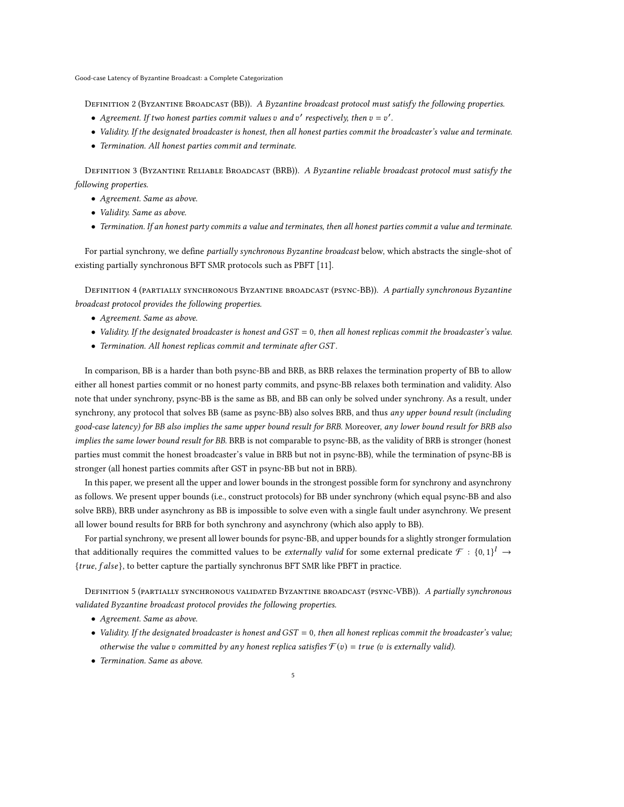DEFINITION 2 (BYZANTINE BROADCAST (BB)). A Byzantine broadcast protocol must satisfy the following properties.

- Agreement. If two honest parties commit values  $v$  and  $v'$  respectively, then  $v = v'$ .
- Validity. If the designated broadcaster is honest, then all honest parties commit the broadcaster's value and terminate.
- Termination. All honest parties commit and terminate.

DEFINITION 3 (BYZANTINE RELIABLE BROADCAST (BRB)). A Byzantine reliable broadcast protocol must satisfy the following properties.

- Agreement. Same as above.
- Validity. Same as above.
- Termination. If an honest party commits a value and terminates, then all honest parties commit a value and terminate.

For partial synchrony, we define partially synchronous Byzantine broadcast below, which abstracts the single-shot of existing partially synchronous BFT SMR protocols such as PBFT [\[11\]](#page-20-2).

DEFINITION 4 (PARTIALLY SYNCHRONOUS BYZANTINE BROADCAST (PSYNC-BB)). A partially synchronous Byzantine broadcast protocol provides the following properties.

- Agreement. Same as above.
- Validity. If the designated broadcaster is honest and  $GST = 0$ , then all honest replicas commit the broadcaster's value.
- $\bullet$  Termination. All honest replicas commit and terminate after GST.

In comparison, BB is a harder than both psync-BB and BRB, as BRB relaxes the termination property of BB to allow either all honest parties commit or no honest party commits, and psync-BB relaxes both termination and validity. Also note that under synchrony, psync-BB is the same as BB, and BB can only be solved under synchrony. As a result, under synchrony, any protocol that solves BB (same as psync-BB) also solves BRB, and thus any upper bound result (including good-case latency) for BB also implies the same upper bound result for BRB. Moreover, any lower bound result for BRB also implies the same lower bound result for BB. BRB is not comparable to psync-BB, as the validity of BRB is stronger (honest parties must commit the honest broadcaster's value in BRB but not in psync-BB), while the termination of psync-BB is stronger (all honest parties commits after GST in psync-BB but not in BRB).

In this paper, we present all the upper and lower bounds in the strongest possible form for synchrony and asynchrony as follows. We present upper bounds (i.e., construct protocols) for BB under synchrony (which equal psync-BB and also solve BRB), BRB under asynchrony as BB is impossible to solve even with a single fault under asynchrony. We present all lower bound results for BRB for both synchrony and asynchrony (which also apply to BB).

For partial synchrony, we present all lower bounds for psync-BB, and upper bounds for a slightly stronger formulation that additionally requires the committed values to be *externally valid* for some external predicate  $\mathcal{F}:\{0,1\}^l \to$  ${true, false}$ , to better capture the partially synchronus BFT SMR like PBFT in practice.

<span id="page-4-0"></span>DEFINITION 5 (PARTIALLY SYNCHRONOUS VALIDATED BYZANTINE BROADCAST (PSYNC-VBB)). A partially synchronous validated Byzantine broadcast protocol provides the following properties.

- Agreement. Same as above.
- Validity. If the designated broadcaster is honest and  $GST = 0$ , then all honest replicas commit the broadcaster's value; otherwise the value v committed by any honest replica satisfies  $\mathcal{F}(v) = true$  (v is externally valid).
- Termination. Same as above.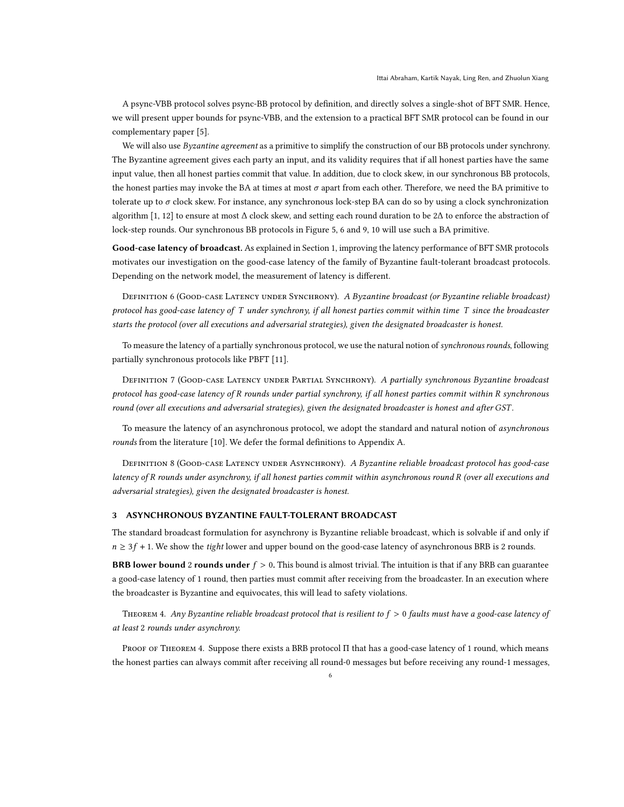A psync-VBB protocol solves psync-BB protocol by definition, and directly solves a single-shot of BFT SMR. Hence, we will present upper bounds for psync-VBB, and the extension to a practical BFT SMR protocol can be found in our complementary paper [\[5\]](#page-20-8).

We will also use Byzantine agreement as a primitive to simplify the construction of our BB protocols under synchrony. The Byzantine agreement gives each party an input, and its validity requires that if all honest parties have the same input value, then all honest parties commit that value. In addition, due to clock skew, in our synchronous BB protocols, the honest parties may invoke the BA at times at most  $\sigma$  apart from each other. Therefore, we need the BA primitive to tolerate up to  $\sigma$  clock skew. For instance, any synchronous lock-step BA can do so by using a clock synchronization algorithm [\[1,](#page-20-12) [12\]](#page-20-13) to ensure at most Δ clock skew, and setting each round duration to be 2Δ to enforce the abstraction of lock-step rounds. Our synchronous BB protocols in Figure [5,](#page-13-1) [6](#page-14-1) and [9,](#page-17-0) [10](#page-25-0) will use such a BA primitive.

Good-case latency of broadcast. As explained in Section [1,](#page-0-1) improving the latency performance of BFT SMR protocols motivates our investigation on the good-case latency of the family of Byzantine fault-tolerant broadcast protocols. Depending on the network model, the measurement of latency is different.

DEFINITION 6 (GOOD-CASE LATENCY UNDER SYNCHRONY). A Byzantine broadcast (or Byzantine reliable broadcast) protocol has good-case latency of  $T$  under synchrony, if all honest parties commit within time  $T$  since the broadcaster starts the protocol (over all executions and adversarial strategies), given the designated broadcaster is honest.

To measure the latency of a partially synchronous protocol, we use the natural notion of synchronous rounds, following partially synchronous protocols like PBFT [\[11\]](#page-20-2).

DEFINITION 7 (GOOD-CASE LATENCY UNDER PARTIAL SYNCHRONY). A partially synchronous Byzantine broadcast protocol has good-case latency of R rounds under partial synchrony, if all honest parties commit within R synchronous round (over all executions and adversarial strategies), given the designated broadcaster is honest and after GST.

To measure the latency of an asynchronous protocol, we adopt the standard and natural notion of asynchronous rounds from the literature [\[10\]](#page-20-15). We defer the formal definitions to Appendix [A.](#page-22-0)

DEFINITION 8 (GOOD-CASE LATENCY UNDER ASYNCHRONY). A Byzantine reliable broadcast protocol has good-case latency of R rounds under asynchrony, if all honest parties commit within asynchronous round R (over all executions and adversarial strategies), given the designated broadcaster is honest.

## <span id="page-5-0"></span>3 ASYNCHRONOUS BYZANTINE FAULT-TOLERANT BROADCAST

The standard broadcast formulation for asynchrony is Byzantine reliable broadcast, which is solvable if and only if  $n \geq 3f + 1$ . We show the *tight* lower and upper bound on the good-case latency of asynchronous BRB is 2 rounds.

**BRB lower bound 2 rounds under**  $f > 0$ . This bound is almost trivial. The intuition is that if any BRB can guarantee a good-case latency of 1 round, then parties must commit after receiving from the broadcaster. In an execution where the broadcaster is Byzantine and equivocates, this will lead to safety violations.

<span id="page-5-1"></span>THEOREM 4. Any Byzantine reliable broadcast protocol that is resilient to  $f > 0$  faults must have a good-case latency of at least 2 rounds under asynchrony.

Proof of Theorem [4.](#page-5-1) Suppose there exists a BRB protocol Π that has a good-case latency of 1 round, which means the honest parties can always commit after receiving all round-0 messages but before receiving any round-1 messages,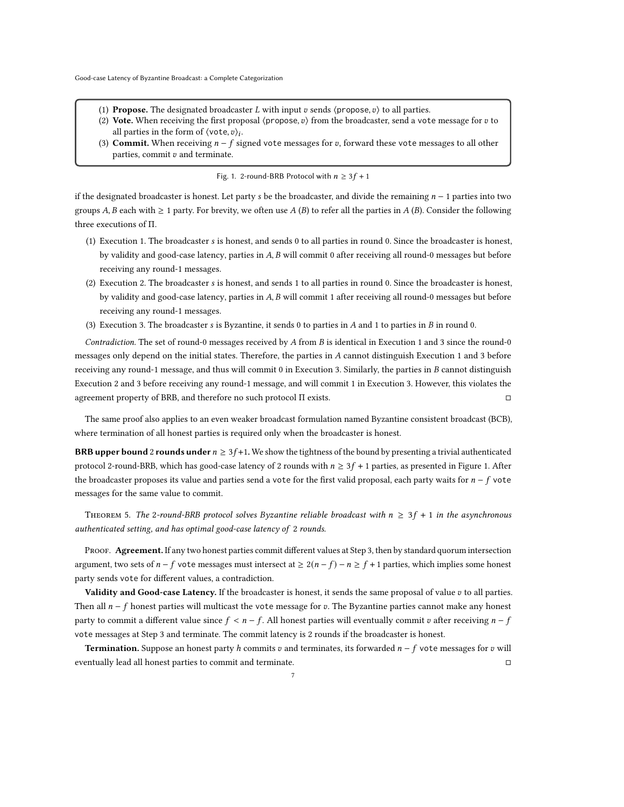- <span id="page-6-0"></span>(1) **Propose.** The designated broadcaster *L* with input *v* sends  $\langle$  propose, *v* $\rangle$  to all parties.
- (2) Vote. When receiving the first proposal  $\langle$ propose,  $v$  from the broadcaster, send a vote message for  $v$  to all parties in the form of  $\langle \text{vote}, v \rangle_i$ .
- <span id="page-6-1"></span>(3) Commit. When receiving  $n - f$  signed vote messages for v, forward these vote messages to all other parties, commit  $v$  and terminate.

Fig. 1. 2-round-BRB Protocol with  $n \geq 3f + 1$ 

if the designated broadcaster is honest. Let party s be the broadcaster, and divide the remaining  $n - 1$  parties into two groups A, B each with  $\geq 1$  party. For brevity, we often use A (B) to refer all the parties in A (B). Consider the following three executions of Π.

- (1) Execution 1. The broadcaster is honest, and sends 0 to all parties in round 0. Since the broadcaster is honest, by validity and good-case latency, parties in  $A$ ,  $B$  will commit 0 after receiving all round-0 messages but before receiving any round-1 messages.
- (2) Execution 2. The broadcaster is honest, and sends 1 to all parties in round 0. Since the broadcaster is honest, by validity and good-case latency, parties in  $A$ ,  $B$  will commit 1 after receiving all round-0 messages but before receiving any round-1 messages.
- (3) Execution 3. The broadcaster  $s$  is Byzantine, it sends 0 to parties in  $A$  and 1 to parties in  $B$  in round 0.

Contradiction. The set of round-0 messages received by  $A$  from  $B$  is identical in Execution 1 and 3 since the round-0 messages only depend on the initial states. Therefore, the parties in A cannot distinguish Execution 1 and 3 before receiving any round-1 message, and thus will commit  $0$  in Execution 3. Similarly, the parties in  $B$  cannot distinguish Execution 2 and 3 before receiving any round-1 message, and will commit 1 in Execution 3. However, this violates the agreement property of BRB, and therefore no such protocol Π exists.

The same proof also applies to an even weaker broadcast formulation named Byzantine consistent broadcast (BCB), where termination of all honest parties is required only when the broadcaster is honest.

**BRB upper bound 2 rounds under**  $n \geq 3f+1$ . We show the tightness of the bound by presenting a trivial authenticated protocol 2-round-BRB, which has good-case latency of 2 rounds with  $n \geq 3f + 1$  parties, as presented in Figure [1.](#page-6-0) After the broadcaster proposes its value and parties send a vote for the first valid proposal, each party waits for  $n - f$  vote messages for the same value to commit.

THEOREM 5. The 2-round-BRB protocol solves Byzantine reliable broadcast with  $n \geq 3f + 1$  in the asynchronous authenticated setting, and has optimal good-case latency of 2 rounds.

PROOF. Agreement. If any two honest parties commit different values at Step [3,](#page-6-1) then by standard quorum intersection argument, two sets of  $n - f$  vote messages must intersect at  $\geq 2(n - f) - n \geq f + 1$  parties, which implies some honest party sends vote for different values, a contradiction.

Validity and Good-case Latency. If the broadcaster is honest, it sends the same proposal of value  $v$  to all parties. Then all  $n - f$  honest parties will multicast the vote message for v. The Byzantine parties cannot make any honest party to commit a different value since  $f < n - f$ . All honest parties will eventually commit v after receiving  $n - f$ vote messages at Step [3](#page-6-1) and terminate. The commit latency is 2 rounds if the broadcaster is honest.

**Termination.** Suppose an honest party h commits v and terminates, its forwarded  $n - f$  vote messages for v will eventually lead all honest parties to commit and terminate. □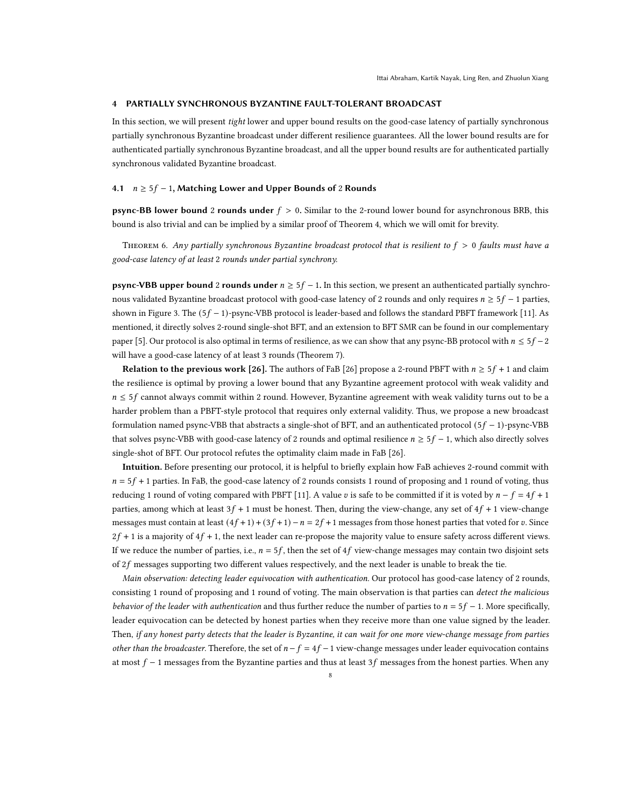#### 4 PARTIALLY SYNCHRONOUS BYZANTINE FAULT-TOLERANT BROADCAST

In this section, we will present tight lower and upper bound results on the good-case latency of partially synchronous partially synchronous Byzantine broadcast under different resilience guarantees. All the lower bound results are for authenticated partially synchronous Byzantine broadcast, and all the upper bound results are for authenticated partially synchronous validated Byzantine broadcast.

#### <span id="page-7-0"></span>4.1  $n \geq 5f - 1$ , Matching Lower and Upper Bounds of 2 Rounds

**psync-BB lower bound 2 rounds under**  $f > 0$ . Similar to the 2-round lower bound for asynchronous BRB, this bound is also trivial and can be implied by a similar proof of Theorem [4,](#page-5-1) which we will omit for brevity.

THEOREM 6. Any partially synchronous Byzantine broadcast protocol that is resilient to  $f > 0$  faults must have a good-case latency of at least 2 rounds under partial synchrony.

**psync-VBB upper bound 2 rounds under**  $n \geq 5f - 1$ . In this section, we present an authenticated partially synchronous validated Byzantine broadcast protocol with good-case latency of 2 rounds and only requires  $n \geq 5f - 1$  parties, shown in Figure [3.](#page-8-0) The  $(5f - 1)$ -psync-VBB protocol is leader-based and follows the standard PBFT framework [\[11\]](#page-20-2). As mentioned, it directly solves 2-round single-shot BFT, and an extension to BFT SMR can be found in our complementary paper [\[5\]](#page-20-8). Our protocol is also optimal in terms of resilience, as we can show that any psync-BB protocol with  $n \leq 5f - 2$ will have a good-case latency of at least 3 rounds (Theorem [7\)](#page-10-0).

**Relation to the previous work [\[26\]](#page-20-5).** The authors of FaB [26] propose a 2-round PBFT with  $n \ge 5f + 1$  and claim the resilience is optimal by proving a lower bound that any Byzantine agreement protocol with weak validity and  $n \leq 5f$  cannot always commit within 2 round. However, Byzantine agreement with weak validity turns out to be a harder problem than a PBFT-style protocol that requires only external validity. Thus, we propose a new broadcast formulation named psync-VBB that abstracts a single-shot of BFT, and an authenticated protocol  $(5f - 1)$ -psync-VBB that solves psync-VBB with good-case latency of 2 rounds and optimal resilience  $n \geq 5f - 1$ , which also directly solves single-shot of BFT. Our protocol refutes the optimality claim made in FaB [\[26\]](#page-20-5).

Intuition. Before presenting our protocol, it is helpful to briefly explain how FaB achieves 2-round commit with  $n = 5f + 1$  parties. In FaB, the good-case latency of 2 rounds consists 1 round of proposing and 1 round of voting, thus reducing 1 round of voting compared with PBFT [\[11\]](#page-20-2). A value v is safe to be committed if it is voted by  $n - f = 4f + 1$ parties, among which at least  $3f + 1$  must be honest. Then, during the view-change, any set of  $4f + 1$  view-change messages must contain at least  $(4f+1)+(3f+1)-n=2f+1$  messages from those honest parties that voted for v. Since  $2f + 1$  is a majority of  $4f + 1$ , the next leader can re-propose the majority value to ensure safety across different views. If we reduce the number of parties, i.e.,  $n = 5f$ , then the set of 4f view-change messages may contain two disjoint sets of  $2f$  messages supporting two different values respectively, and the next leader is unable to break the tie.

Main observation: detecting leader equivocation with authentication. Our protocol has good-case latency of 2 rounds, consisting 1 round of proposing and 1 round of voting. The main observation is that parties can detect the malicious behavior of the leader with authentication and thus further reduce the number of parties to  $n = 5f - 1$ . More specifically, leader equivocation can be detected by honest parties when they receive more than one value signed by the leader. Then, if any honest party detects that the leader is Byzantine, it can wait for one more view-change message from parties other than the broadcaster. Therefore, the set of  $n - f = 4f - 1$  view-change messages under leader equivocation contains at most  $f - 1$  messages from the Byzantine parties and thus at least 3f messages from the honest parties. When any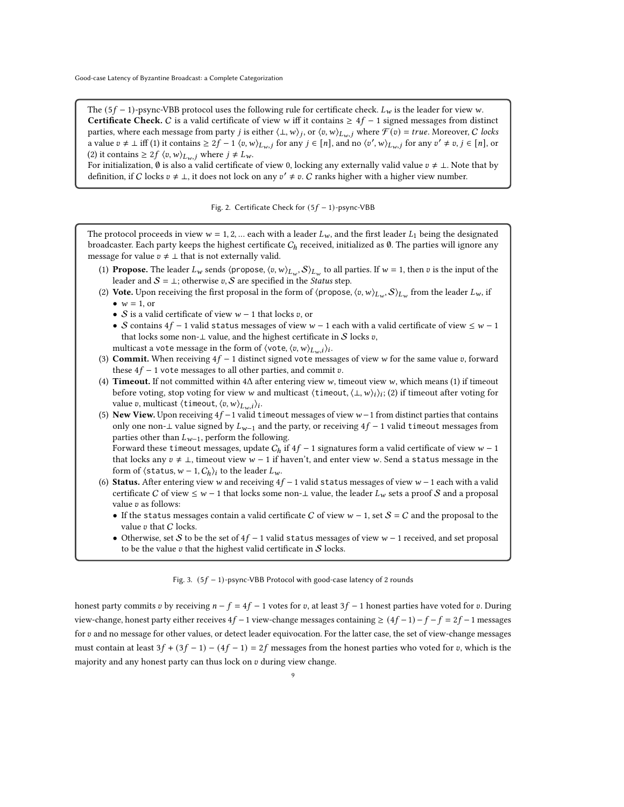<span id="page-8-1"></span>The (5 $f - 1$ )-psync-VBB protocol uses the following rule for certificate check.  $L_w$  is the leader for view w. **Certificate Check.** C is a valid certificate of view w iff it contains  $\geq 4f - 1$  signed messages from distinct parties, where each message from party *j* is either  $\langle \bot, w \rangle_j$ , or  $\langle v, w \rangle_{L_w,j}$  where  $\widetilde{\mathcal{F}}(v) = true$ . Moreover, C locks a value  $v \neq \bot$  iff (1) it contains  $\geq 2f - 1$   $\langle v, w \rangle_{L_w}$  for any  $j \in [n]$ , and no  $\langle v', w \rangle_{L_w}$  for any  $v' \neq v, j \in [n]$ , or (2) it contains  $\geq 2f \langle v, w \rangle_{L_w, j}$  where  $j \neq L_w$ .

For initialization,  $\emptyset$  is also a valid certificate of view 0, locking any externally valid value  $v \neq \bot$ . Note that by definition, if C locks  $v \neq \bot$ , it does not lock on any  $v' \neq v$ . C ranks higher with a higher view number.

Fig. 2. Certificate Check for  $(5f - 1)$ -psync-VBB

<span id="page-8-0"></span>The protocol proceeds in view  $w = 1, 2, ...$  each with a leader  $L_w$ , and the first leader  $L_1$  being the designated broadcaster. Each party keeps the highest certificate  $C<sub>h</sub>$  received, initialized as  $\emptyset$ . The parties will ignore any message for value  $v \neq \bot$  that is not externally valid.

- (1) Propose. The leader  $L_w$  sends  $\langle$ propose,  $\langle v, w \rangle_{L_w}$ ,  $S \rangle_{L_w}$  to all parties. If  $w = 1$ , then v is the input of the leader and  $S = \perp$ ; otherwise v, S are specified in the Status step.
- <span id="page-8-2"></span>(2) Vote. Upon receiving the first proposal in the form of  $\langle$ propose,  $\langle v, w \rangle_{L_w}, S \rangle_{L_w}$  from the leader  $L_w$ , if •  $w = 1$ , or
	- S is a valid certificate of view  $w 1$  that locks v, or
	- S contains  $4f 1$  valid status messages of view  $w 1$  each with a valid certificate of view  $\leq w 1$ that locks some non- $\perp$  value, and the highest certificate in  $\mathcal S$  locks  $v,$ multicast a vote message in the form of  $\langle$ vote,  $\langle v, w \rangle_{L_w,i}$ ) $_i$ .
- <span id="page-8-5"></span>(3) Commit. When receiving  $4f - 1$  distinct signed vote messages of view w for the same value v, forward these  $4f - 1$  vote messages to all other parties, and commit  $v$ .
- <span id="page-8-3"></span>(4) Timeout. If not committed within  $4\Delta$  after entering view w, timeout view w, which means (1) if timeout before voting, stop voting for view w and multicast  $\langle$  timeout,  $\langle \perp, w \rangle_i$ ; (2) if timeout after voting for value v, multicast  $\langle$  timeout,  $\langle v, w \rangle_{L_w, i}$ )<sub>i</sub>.
- <span id="page-8-4"></span>(5) New View. Upon receiving  $4f - 1$  valid timeout messages of view  $w - 1$  from distinct parties that contains only one non-⊥ value signed by  $L_{w-1}$  and the party, or receiving  $4f - 1$  valid timeout messages from parties other than  $L_{w-1}$ , perform the following.

Forward these timeout messages, update  $C_h$  if  $4f - 1$  signatures form a valid certificate of view  $w - 1$ that locks any  $v \neq \perp$ , timeout view  $w - 1$  if haven't, and enter view w. Send a status message in the form of  $\langle$  status,  $w - 1$ ,  $C_h$ )<sub>i</sub> to the leader  $L_w$ .

- (6) Status. After entering view w and receiving  $4f 1$  valid status messages of view  $w 1$  each with a valid certificate C of view  $\leq w - 1$  that locks some non- $\perp$  value, the leader  $L_w$  sets a proof S and a proposal value  $v$  as follows:
	- If the status messages contain a valid certificate C of view  $w 1$ , set  $S = C$  and the proposal to the value  $v$  that  $C$  locks.
	- Otherwise, set S to be the set of  $4f 1$  valid status messages of view  $w 1$  received, and set proposal to be the value  $v$  that the highest valid certificate in  $S$  locks.

#### Fig. 3.  $(5f - 1)$ -psync-VBB Protocol with good-case latency of 2 rounds

honest party commits v by receiving  $n - f = 4f - 1$  votes for v, at least  $3f - 1$  honest parties have voted for v. During view-change, honest party either receives  $4f - 1$  view-change messages containing  $\geq (4f - 1) - f - f = 2f - 1$  messages for  $v$  and no message for other values, or detect leader equivocation. For the latter case, the set of view-change messages must contain at least  $3f + (3f - 1) - (4f - 1) = 2f$  messages from the honest parties who voted for v, which is the majority and any honest party can thus lock on  $v$  during view change.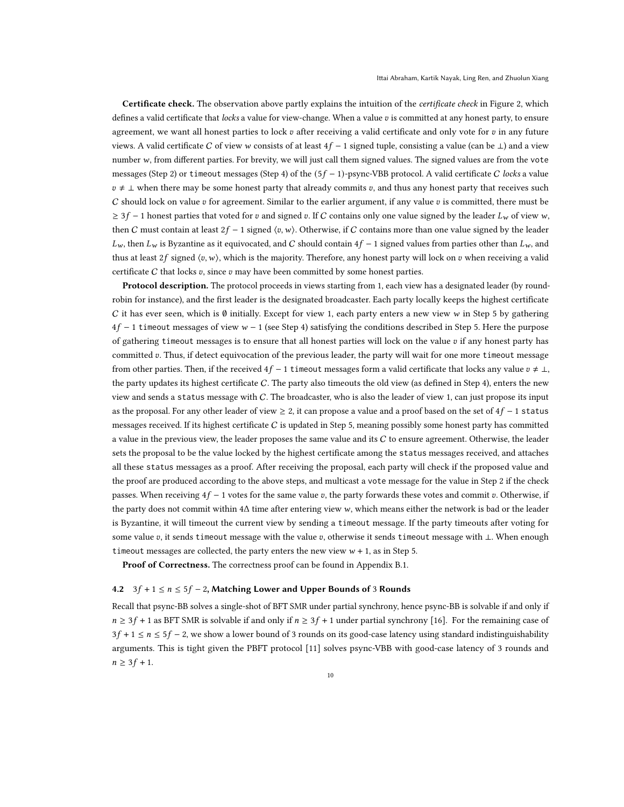Certificate check. The observation above partly explains the intuition of the *certificate check* in Figure [2,](#page-8-1) which defines a valid certificate that locks a value for view-change. When a value  $v$  is committed at any honest party, to ensure agreement, we want all honest parties to lock  $v$  after receiving a valid certificate and only vote for  $v$  in any future views. A valid certificate C of view w consists of at least  $4f - 1$  signed tuple, consisting a value (can be  $\perp$ ) and a view number  $w$ , from different parties. For brevity, we will just call them signed values. The signed values are from the vote messages (Step [2\)](#page-8-2) or timeout messages (Step [4\)](#page-8-3) of the  $(5f - 1)$ -psync-VBB protocol. A valid certificate C locks a value  $v \neq \perp$  when there may be some honest party that already commits v, and thus any honest party that receives such C should lock on value  $v$  for agreement. Similar to the earlier argument, if any value  $v$  is committed, there must be  $\geq 3f - 1$  honest parties that voted for v and signed v. If C contains only one value signed by the leader  $L_w$  of view w, then C must contain at least  $2f - 1$  signed  $\langle v, w \rangle$ . Otherwise, if C contains more than one value signed by the leader  $L_w$ , then  $L_w$  is Byzantine as it equivocated, and C should contain  $4f - 1$  signed values from parties other than  $L_w$ , and thus at least 2f signed  $\langle v, w \rangle$ , which is the majority. Therefore, any honest party will lock on  $v$  when receiving a valid certificate C that locks  $v$ , since  $v$  may have been committed by some honest parties.

Protocol description. The protocol proceeds in views starting from 1, each view has a designated leader (by roundrobin for instance), and the first leader is the designated broadcaster. Each party locally keeps the highest certificate C it has ever seen, which is  $\emptyset$  initially. Except for view 1, each party enters a new view  $w$  in Step [5](#page-8-4) by gathering  $4f - 1$  timeout messages of view  $w - 1$  (see Step [4\)](#page-8-3) satisfying the conditions described in Step [5.](#page-8-4) Here the purpose of gathering timeout messages is to ensure that all honest parties will lock on the value  $v$  if any honest party has committed v. Thus, if detect equivocation of the previous leader, the party will wait for one more timeout message from other parties. Then, if the received  $4f - 1$  timeout messages form a valid certificate that locks any value  $v \neq \perp$ , the party updates its highest certificate  $C$ . The party also timeouts the old view (as defined in Step [4\)](#page-8-3), enters the new view and sends a status message with C. The broadcaster, who is also the leader of view 1, can just propose its input as the proposal. For any other leader of view  $\geq 2$ , it can propose a value and a proof based on the set of  $4f - 1$  status messages received. If its highest certificate  $C$  is updated in Step [5,](#page-8-4) meaning possibly some honest party has committed a value in the previous view, the leader proposes the same value and its  $C$  to ensure agreement. Otherwise, the leader sets the proposal to be the value locked by the highest certificate among the status messages received, and attaches all these status messages as a proof. After receiving the proposal, each party will check if the proposed value and the proof are produced according to the above steps, and multicast a vote message for the value in Step [2](#page-8-2) if the check passes. When receiving  $4f - 1$  votes for the same value v, the party forwards these votes and commit v. Otherwise, if the party does not commit within 4Δ time after entering view w, which means either the network is bad or the leader is Byzantine, it will timeout the current view by sending a timeout message. If the party timeouts after voting for some value v, it sends timeout message with the value v, otherwise it sends timeout message with ⊥. When enough timeout messages are collected, the party enters the new view  $w + 1$ , as in Step [5.](#page-8-4)

Proof of Correctness. The correctness proof can be found in Appendix [B.1.](#page-22-1)

### <span id="page-9-0"></span>4.2  $3f + 1 \le n \le 5f - 2$ , Matching Lower and Upper Bounds of 3 Rounds

Recall that psync-BB solves a single-shot of BFT SMR under partial synchrony, hence psync-BB is solvable if and only if  $n \geq 3f + 1$  as BFT SMR is solvable if and only if  $n \geq 3f + 1$  under partial synchrony [\[16\]](#page-20-16). For the remaining case of  $3f + 1 \le n \le 5f - 2$ , we show a lower bound of 3 rounds on its good-case latency using standard indistinguishability arguments. This is tight given the PBFT protocol [\[11\]](#page-20-2) solves psync-VBB with good-case latency of 3 rounds and  $n \geq 3f + 1$ .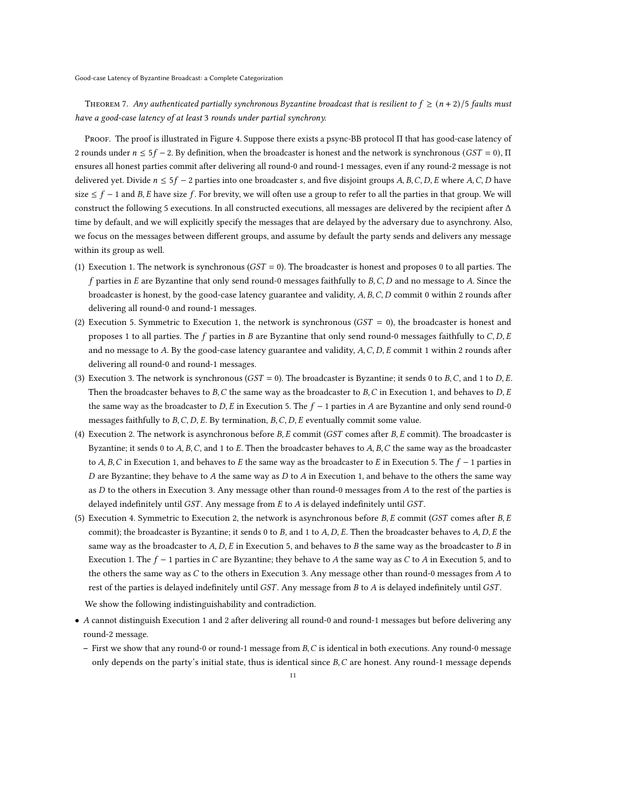<span id="page-10-0"></span>THEOREM 7. Any authenticated partially synchronous Byzantine broadcast that is resilient to  $f \ge (n+2)/5$  faults must have a good-case latency of at least 3 rounds under partial synchrony.

Proof. The proof is illustrated in Figure [4.](#page-11-0) Suppose there exists a psync-BB protocol Π that has good-case latency of 2 rounds under  $n \le 5f - 2$ . By definition, when the broadcaster is honest and the network is synchronous ( $GST = 0$ ),  $\Pi$ ensures all honest parties commit after delivering all round-0 and round-1 messages, even if any round-2 message is not delivered yet. Divide  $n \le 5f - 2$  parties into one broadcaster s, and five disjoint groups A, B, C, D, E where A, C, D have size  $\leq f - 1$  and B, E have size f. For brevity, we will often use a group to refer to all the parties in that group. We will construct the following 5 executions. In all constructed executions, all messages are delivered by the recipient after  $\Delta$ time by default, and we will explicitly specify the messages that are delayed by the adversary due to asynchrony. Also, we focus on the messages between different groups, and assume by default the party sends and delivers any message within its group as well.

- (1) Execution 1. The network is synchronous ( $GST = 0$ ). The broadcaster is honest and proposes 0 to all parties. The  $f$  parties in  $E$  are Byzantine that only send round-0 messages faithfully to  $B$ ,  $C$ ,  $D$  and no message to  $A$ . Since the broadcaster is honest, by the good-case latency guarantee and validity,  $A, B, C, D$  commit 0 within 2 rounds after delivering all round-0 and round-1 messages.
- (2) Execution 5. Symmetric to Execution 1, the network is synchronous  $(GST = 0)$ , the broadcaster is honest and proposes 1 to all parties. The  $f$  parties in  $B$  are Byzantine that only send round-0 messages faithfully to  $C, D, E$ and no message to  $A$ . By the good-case latency guarantee and validity,  $A$ ,  $C$ ,  $D$ ,  $E$  commit 1 within 2 rounds after delivering all round-0 and round-1 messages.
- (3) Execution 3. The network is synchronous ( $GST = 0$ ). The broadcaster is Byzantine; it sends 0 to B, C, and 1 to D, E. Then the broadcaster behaves to  $B, C$  the same way as the broadcaster to  $B, C$  in Execution 1, and behaves to  $D, E$ the same way as the broadcaster to D, E in Execution 5. The  $f - 1$  parties in A are Byzantine and only send round-0 messages faithfully to  $B, C, D, E$ . By termination,  $B, C, D, E$  eventually commit some value.
- (4) Execution 2. The network is asynchronous before  $B, E$  commit ( $GST$  comes after  $B, E$  commit). The broadcaster is Byzantine; it sends 0 to  $A$ ,  $B$ ,  $C$ , and 1 to  $E$ . Then the broadcaster behaves to  $A$ ,  $B$ ,  $C$  the same way as the broadcaster to A, B, C in Execution 1, and behaves to E the same way as the broadcaster to E in Execution 5. The  $f - 1$  parties in D are Byzantine; they behave to A the same way as  $D$  to  $A$  in Execution 1, and behave to the others the same way as  $D$  to the others in Execution 3. Any message other than round-0 messages from  $A$  to the rest of the parties is delayed indefinitely until  $GST$ . Any message from  $E$  to  $A$  is delayed indefinitely until  $GST$ .
- (5) Execution 4. Symmetric to Execution 2, the network is asynchronous before  $B$ ,  $E$  commit (*GST* comes after  $B$ ,  $E$ commit); the broadcaster is Byzantine; it sends 0 to  $B$ , and 1 to  $A$ ,  $D$ ,  $E$ . Then the broadcaster behaves to  $A$ ,  $D$ ,  $E$  the same way as the broadcaster to  $A, D, E$  in Execution 5, and behaves to  $B$  the same way as the broadcaster to  $B$  in Execution 1. The  $f - 1$  parties in C are Byzantine; they behave to A the same way as C to A in Execution 5, and to the others the same way as  $C$  to the others in Execution 3. Any message other than round-0 messages from  $A$  to rest of the parties is delayed indefinitely until  $GST$ . Any message from  $B$  to  $A$  is delayed indefinitely until  $GST$ .

We show the following indistinguishability and contradiction.

- A cannot distinguish Execution 1 and 2 after delivering all round-0 and round-1 messages but before delivering any round-2 message.
	- First we show that any round-0 or round-1 message from  $B, C$  is identical in both executions. Any round-0 message only depends on the party's initial state, thus is identical since  $B$ ,  $C$  are honest. Any round-1 message depends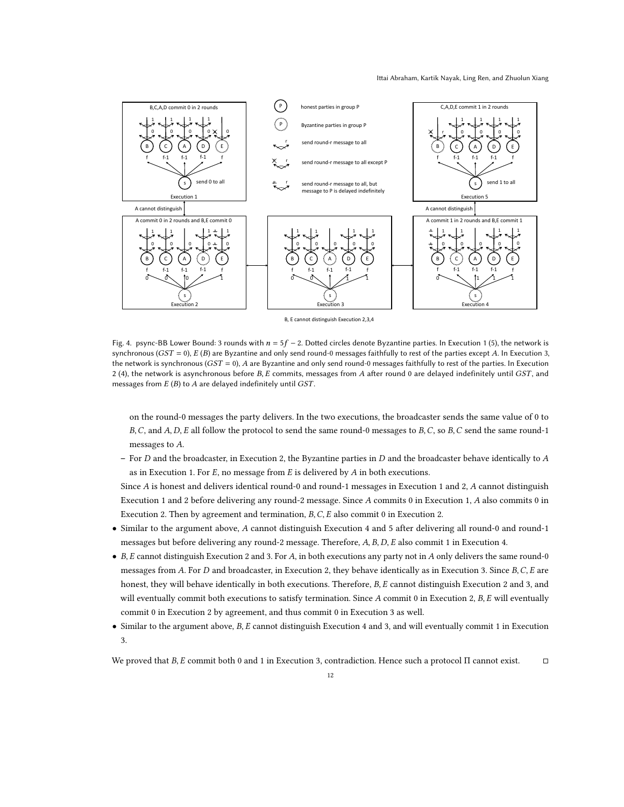#### Ittai Abraham, Kartik Nayak, Ling Ren, and Zhuolun Xiang

<span id="page-11-0"></span>

B, E cannot distinguish Execution 2,3,4

Fig. 4. psync-BB Lower Bound: 3 rounds with  $n = 5f - 2$ . Dotted circles denote Byzantine parties. In Execution 1(5), the network is synchronous ( $GST = 0$ ),  $E(B)$  are Byzantine and only send round-0 messages faithfully to rest of the parties except A. In Execution 3, the network is synchronous ( $GST = 0$ ), A are Byzantine and only send round-0 messages faithfully to rest of the parties. In Execution 2 (4), the network is asynchronous before  $B$ ,  $E$  commits, messages from  $A$  after round 0 are delayed indefinitely until  $GST$ , and messages from  $E(B)$  to  $A$  are delayed indefinitely until  $GST$ .

on the round-0 messages the party delivers. In the two executions, the broadcaster sends the same value of 0 to  $B, C$ , and  $A, D, E$  all follow the protocol to send the same round-0 messages to  $B, C$ , so  $B, C$  send the same round-1 messages to  $A$ .

– For  $D$  and the broadcaster, in Execution 2, the Byzantine parties in  $D$  and the broadcaster behave identically to  $A$ as in Execution 1. For  $E$ , no message from  $E$  is delivered by  $A$  in both executions.

Since  $A$  is honest and delivers identical round-0 and round-1 messages in Execution 1 and 2,  $A$  cannot distinguish Execution 1 and 2 before delivering any round-2 message. Since A commits 0 in Execution 1, A also commits 0 in Execution 2. Then by agreement and termination,  $B, C, E$  also commit 0 in Execution 2.

- Similar to the argument above, A cannot distinguish Execution 4 and 5 after delivering all round-0 and round-1 messages but before delivering any round-2 message. Therefore, A, B, D, E also commit 1 in Execution 4.
- B, E cannot distinguish Execution 2 and 3. For A, in both executions any party not in  $A$  only delivers the same round-0 messages from A. For  $D$  and broadcaster, in Execution 2, they behave identically as in Execution 3. Since  $B, C, E$  are honest, they will behave identically in both executions. Therefore,  $B$ ,  $E$  cannot distinguish Execution 2 and 3, and will eventually commit both executions to satisfy termination. Since  $A$  commit 0 in Execution 2,  $B$ ,  $E$  will eventually commit 0 in Execution 2 by agreement, and thus commit 0 in Execution 3 as well.
- $\bullet$  Similar to the argument above,  $B$ ,  $E$  cannot distinguish Execution 4 and 3, and will eventually commit 1 in Execution 3.

We proved that  $B$ ,  $E$  commit both 0 and 1 in Execution 3, contradiction. Hence such a protocol Π cannot exist.  $□$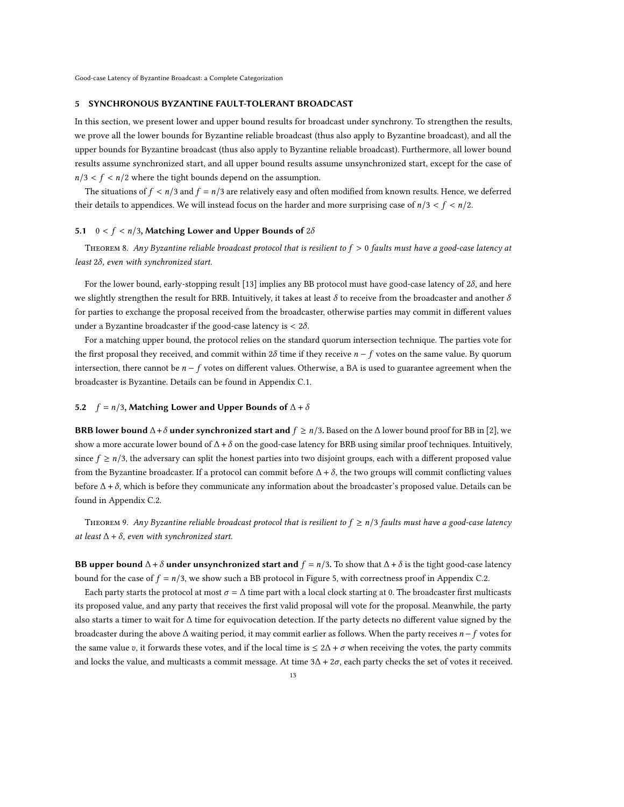#### 5 SYNCHRONOUS BYZANTINE FAULT-TOLERANT BROADCAST

In this section, we present lower and upper bound results for broadcast under synchrony. To strengthen the results, we prove all the lower bounds for Byzantine reliable broadcast (thus also apply to Byzantine broadcast), and all the upper bounds for Byzantine broadcast (thus also apply to Byzantine reliable broadcast). Furthermore, all lower bound results assume synchronized start, and all upper bound results assume unsynchronized start, except for the case of  $n/3 < f < n/2$  where the tight bounds depend on the assumption.

The situations of  $f < n/3$  and  $f = n/3$  are relatively easy and often modified from known results. Hence, we deferred their details to appendices. We will instead focus on the harder and more surprising case of  $n/3 < f < n/2$ .

#### <span id="page-12-0"></span>5.1  $0 < f < n/3$ , Matching Lower and Upper Bounds of 2 $\delta$

<span id="page-12-3"></span>THEOREM 8. Any Byzantine reliable broadcast protocol that is resilient to  $f > 0$  faults must have a good-case latency at least  $2\delta$ , even with synchronized start.

For the lower bound, early-stopping result [\[13\]](#page-20-17) implies any BB protocol must have good-case latency of  $2\delta$ , and here we slightly strengthen the result for BRB. Intuitively, it takes at least  $\delta$  to receive from the broadcaster and another  $\delta$ for parties to exchange the proposal received from the broadcaster, otherwise parties may commit in different values under a Byzantine broadcaster if the good-case latency is  $< 2\delta$ .

For a matching upper bound, the protocol relies on the standard quorum intersection technique. The parties vote for the first proposal they received, and commit within  $2\delta$  time if they receive  $n - f$  votes on the same value. By quorum intersection, there cannot be  $n - f$  votes on different values. Otherwise, a BA is used to guarantee agreement when the broadcaster is Byzantine. Details can be found in Appendix [C.1.](#page-24-0)

#### <span id="page-12-1"></span>5.2  $f = n/3$ , Matching Lower and Upper Bounds of  $\Delta + \delta$

**BRB lower bound**  $\Delta + \delta$  under synchronized start and  $f \ge n/3$ . Based on the  $\Delta$  lower bound proof for BB in [\[2\]](#page-20-0), we show a more accurate lower bound of  $\Delta + \delta$  on the good-case latency for BRB using similar proof techniques. Intuitively, since  $f \ge n/3$ , the adversary can split the honest parties into two disjoint groups, each with a different proposed value from the Byzantine broadcaster. If a protocol can commit before  $\Delta + \delta$ , the two groups will commit conflicting values before  $\Delta + \delta$ , which is before they communicate any information about the broadcaster's proposed value. Details can be found in Appendix [C.2.](#page-26-0)

<span id="page-12-2"></span>THEOREM 9. Any Byzantine reliable broadcast protocol that is resilient to  $f \ge n/3$  faults must have a good-case latency at least  $\Delta + \delta$ , even with synchronized start.

**BB upper bound**  $\Delta + \delta$  **under unsynchronized start and**  $f = n/3$ . To show that  $\Delta + \delta$  is the tight good-case latency bound for the case of  $f = n/3$ , we show such a BB protocol in Figure [5,](#page-13-1) with correctness proof in Appendix [C.2.](#page-26-1)

Each party starts the protocol at most  $\sigma = \Delta$  time part with a local clock starting at 0. The broadcaster first multicasts its proposed value, and any party that receives the first valid proposal will vote for the proposal. Meanwhile, the party also starts a timer to wait for Δ time for equivocation detection. If the party detects no different value signed by the broadcaster during the above  $\Delta$  waiting period, it may commit earlier as follows. When the party receives  $n - f$  votes for the same value v, it forwards these votes, and if the local time is  $\leq 2\Delta + \sigma$  when receiving the votes, the party commits and locks the value, and multicasts a commit message. At time  $3\Delta + 2\sigma$ , each party checks the set of votes it received.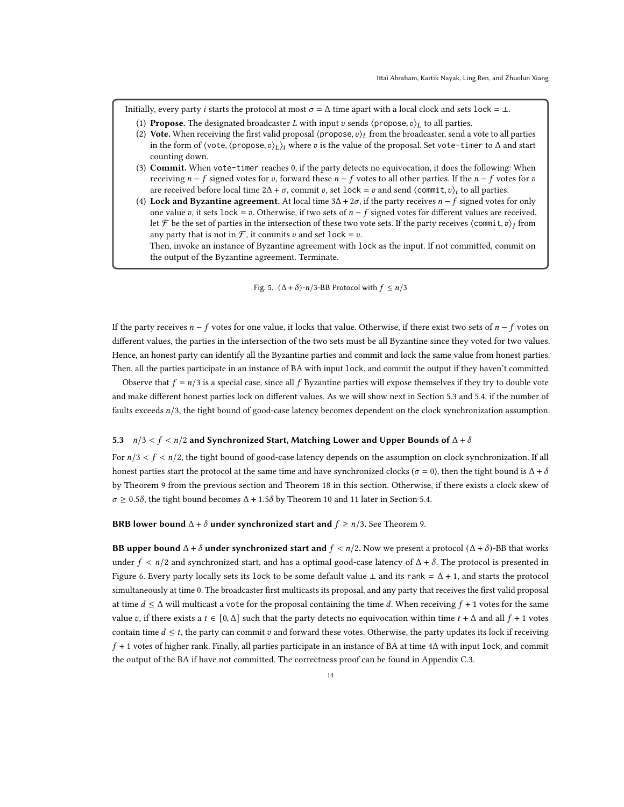<span id="page-13-1"></span>Initially, every party *i* starts the protocol at most  $\sigma = \Delta$  time apart with a local clock and sets lock = ⊥.

- (1) Propose. The designated broadcaster *L* with input  $v$  sends  $\langle$  propose,  $v \rangle_L$  to all parties.
- (2) Vote. When receiving the first valid proposal  $\langle$ propose,  $v \rangle$  from the broadcaster, send a vote to all parties in the form of  $\langle \text{vote}, \langle \text{propose}, v \rangle_L \rangle_i$  where  $v$  is the value of the proposal. Set vote-timer to  $\Delta$  and start counting down.
- <span id="page-13-2"></span>(3) Commit. When vote-timer reaches 0, if the party detects no equivocation, it does the following: When receiving  $n - f$  signed votes for v, forward these  $n - f$  votes to all other parties. If the  $n - f$  votes for v are received before local time  $2\Delta + \sigma$ , commit v, set lock = v and send  $\langle$  commit, v $\rangle_i$  to all parties.
- <span id="page-13-3"></span>(4) Lock and Byzantine agreement. At local time  $3\Delta + 2\sigma$ , if the party receives  $n - f$  signed votes for only one value v, it sets lock = v. Otherwise, if two sets of  $n - f$  signed votes for different values are received, let F be the set of parties in the intersection of these two vote sets. If the party receives  $\langle$  commit,  $v \rangle_i$  from any party that is not in  $\mathcal F$ , it commits  $v$  and set lock =  $v$ .

Then, invoke an instance of Byzantine agreement with lock as the input. If not committed, commit on the output of the Byzantine agreement. Terminate.

Fig. 5.  $(\Delta + \delta)$ -n/3-BB Protocol with  $f \le n/3$ 

If the party receives  $n - f$  votes for one value, it locks that value. Otherwise, if there exist two sets of  $n - f$  votes on different values, the parties in the intersection of the two sets must be all Byzantine since they voted for two values. Hence, an honest party can identify all the Byzantine parties and commit and lock the same value from honest parties. Then, all the parties participate in an instance of BA with input lock, and commit the output if they haven't committed.

Observe that  $f = n/3$  is a special case, since all  $f$  Byzantine parties will expose themselves if they try to double vote and make different honest parties lock on different values. As we will show next in Section [5.3](#page-13-0) and [5.4,](#page-14-0) if the number of faults exceeds  $n/3$ , the tight bound of good-case latency becomes dependent on the clock synchronization assumption.

#### <span id="page-13-0"></span>5.3  $n/3 < f < n/2$  and Synchronized Start, Matching Lower and Upper Bounds of  $\Delta + \delta$

For  $n/3 < f < n/2$ , the tight bound of good-case latency depends on the assumption on clock synchronization. If all honest parties start the protocol at the same time and have synchronized clocks ( $\sigma = 0$ ), then the tight bound is  $\Delta + \delta$ by Theorem [9](#page-12-2) from the previous section and Theorem [18](#page-28-0) in this section. Otherwise, if there exists a clock skew of  $\sigma \geq 0.5\delta$ , the tight bound becomes  $\Delta + 1.5\delta$  by Theorem [10](#page-14-2) and [11](#page-18-0) later in Section [5.4.](#page-14-0)

#### **BRB lower bound**  $\Delta + \delta$  under synchronized start and  $f \ge n/3$ . See Theorem [9.](#page-12-2)

**BB upper bound**  $\Delta + \delta$  **under synchronized start and**  $f < n/2$ . Now we present a protocol  $(\Delta + \delta)$ -BB that works under  $f < n/2$  and synchronized start, and has a optimal good-case latency of  $\Delta + \delta$ . The protocol is presented in Figure [6.](#page-14-1) Every party locally sets its lock to be some default value  $\perp$  and its rank =  $\Delta$  + 1, and starts the protocol simultaneously at time 0. The broadcaster first multicasts its proposal, and any party that receives the first valid proposal at time  $d \leq \Delta$  will multicast a vote for the proposal containing the time d. When receiving  $f + 1$  votes for the same value v, if there exists a  $t \in [0, \Delta]$  such that the party detects no equivocation within time  $t + \Delta$  and all  $f + 1$  votes contain time  $d \leq t$ , the party can commit v and forward these votes. Otherwise, the party updates its lock if receiving  $f + 1$  votes of higher rank. Finally, all parties participate in an instance of BA at time  $4\Delta$  with input lock, and commit the output of the BA if have not committed. The correctness proof can be found in Appendix [C.3.](#page-27-0)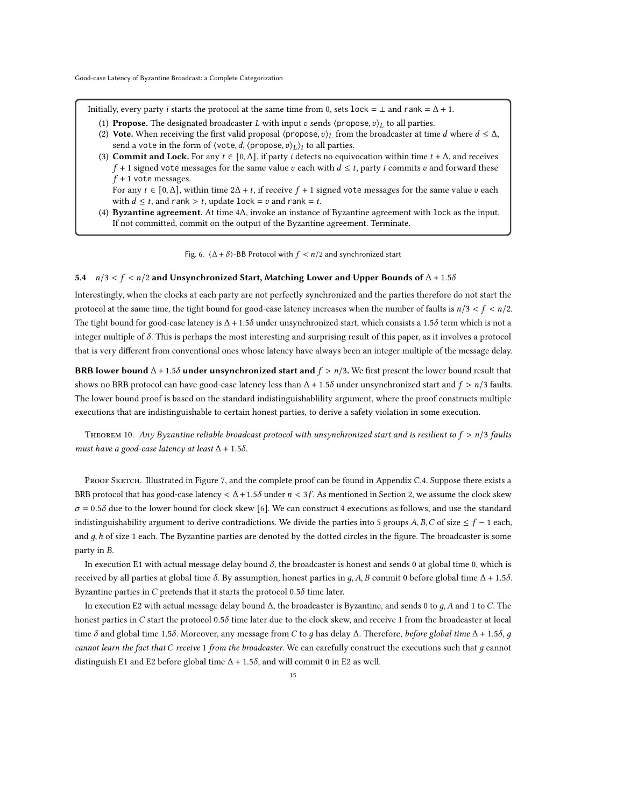<span id="page-14-1"></span>Initially, every party *i* starts the protocol at the same time from 0, sets lock =  $\perp$  and rank =  $\Delta$  + 1.

- (1) Propose. The designated broadcaster *L* with input *v* sends  $\langle$  propose,  $v \rangle_L$  to all parties.
- <span id="page-14-5"></span>(2) Vote. When receiving the first valid proposal  $\langle$ propose,  $v \rangle_L$  from the broadcaster at time  $d$  where  $d \leq \Delta$ , send a vote in the form of  $\langle \text{vote}, d, \langle \text{propose}, v \rangle_L \rangle_i$  to all parties.
- <span id="page-14-3"></span>(3) Commit and Lock. For any  $t \in [0, \Delta]$ , if party *i* detects no equivocation within time  $t + \Delta$ , and receives  $f + 1$  signed vote messages for the same value  $v$  each with  $d \le t$ , party  $i$  commits  $v$  and forward these  $f + 1$  vote messages.

For any  $t \in [0, \Delta]$ , within time  $2\Delta + t$ , if receive  $f + 1$  signed vote messages for the same value v each with  $d \leq t$ , and rank > t, update lock =  $v$  and rank =  $t$ .

<span id="page-14-4"></span>(4) Byzantine agreement. At time 4Δ, invoke an instance of Byzantine agreement with lock as the input. If not committed, commit on the output of the Byzantine agreement. Terminate.

Fig. 6.  $(\Delta + \delta)$ -BB Protocol with  $f < n/2$  and synchronized start

#### <span id="page-14-0"></span>5.4  $n/3 < f < n/2$  and Unsynchronized Start, Matching Lower and Upper Bounds of  $\Delta + 1.5\delta$

Interestingly, when the clocks at each party are not perfectly synchronized and the parties therefore do not start the protocol at the same time, the tight bound for good-case latency increases when the number of faults is  $n/3 < f < n/2$ . The tight bound for good-case latency is  $\Delta$  + 1.5 $\delta$  under unsynchronized start, which consists a 1.5 $\delta$  term which is not a integer multiple of  $\delta$ . This is perhaps the most interesting and surprising result of this paper, as it involves a protocol that is very different from conventional ones whose latency have always been an integer multiple of the message delay.

BRB lower bound  $\Delta$  + 1.5 $\delta$  under unsynchronized start and  $f > n/3$ . We first present the lower bound result that shows no BRB protocol can have good-case latency less than  $\Delta$  + 1.5 $\delta$  under unsynchronized start and  $f > n/3$  faults. The lower bound proof is based on the standard indistinguishablility argument, where the proof constructs multiple executions that are indistinguishable to certain honest parties, to derive a safety violation in some execution.

<span id="page-14-2"></span>THEOREM 10. Any Byzantine reliable broadcast protocol with unsynchronized start and is resilient to  $f > n/3$  faults must have a good-case latency at least  $\Delta$  + 1.5 $\delta$ .

PROOF SKETCH. Illustrated in Figure [7,](#page-15-0) and the complete proof can be found in Appendix [C.4.](#page-28-1) Suppose there exists a BRB protocol that has good-case latency  $\lt \Delta$  + 1.5 $\delta$  under  $n < 3f$ . As mentioned in Section [2,](#page-2-0) we assume the clock skew  $\sigma$  = 0.58 due to the lower bound for clock skew [\[6\]](#page-20-14). We can construct 4 executions as follows, and use the standard indistinguishability argument to derive contradictions. We divide the parties into 5 groups A, B, C of size  $\leq f - 1$  each, and  $g$ ,  $h$  of size 1 each. The Byzantine parties are denoted by the dotted circles in the figure. The broadcaster is some party in B.

In execution E1 with actual message delay bound  $\delta$ , the broadcaster is honest and sends 0 at global time 0, which is received by all parties at global time  $\delta$ . By assumption, honest parties in q, A, B commit 0 before global time  $\Delta$  + 1.5 $\delta$ . Byzantine parties in  $C$  pretends that it starts the protocol 0.5 $\delta$  time later.

In execution E2 with actual message delay bound  $\Delta$ , the broadcaster is Byzantine, and sends 0 to  $q$ ,  $A$  and 1 to  $C$ . The honest parties in  $C$  start the protocol 0.5 $\delta$  time later due to the clock skew, and receive 1 from the broadcaster at local time δ and global time 1.5δ. Moreover, any message from C to g has delay Δ. Therefore, before global time  $Δ + 1.5δ$ , g cannot learn the fact that  $C$  receive 1 from the broadcaster. We can carefully construct the executions such that  $q$  cannot distinguish E1 and E2 before global time  $\Delta + 1.5\delta$ , and will commit 0 in E2 as well.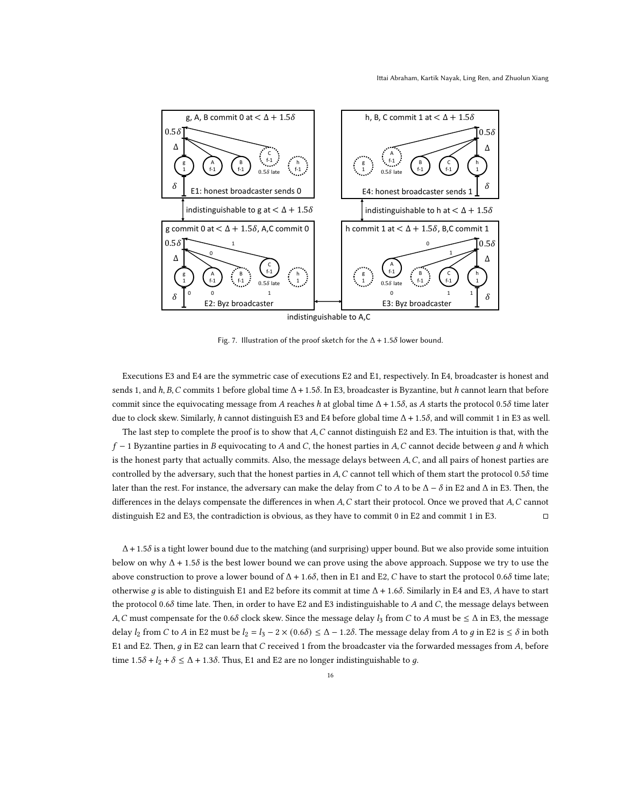<span id="page-15-0"></span>

Fig. 7. Illustration of the proof sketch for the  $\Delta + 1.5\delta$  lower bound.

Executions E3 and E4 are the symmetric case of executions E2 and E1, respectively. In E4, broadcaster is honest and sends 1, and  $h, B, C$  commits 1 before global time  $\Delta + 1.5\delta$ . In E3, broadcaster is Byzantine, but h cannot learn that before commit since the equivocating message from A reaches h at global time  $\Delta + 1.5\delta$ , as A starts the protocol 0.5 $\delta$  time later due to clock skew. Similarly, h cannot distinguish E3 and E4 before global time  $Δ + 1.5δ$ , and will commit 1 in E3 as well.

The last step to complete the proof is to show that  $A, C$  cannot distinguish E2 and E3. The intuition is that, with the  $f - 1$  Byzantine parties in B equivocating to A and C, the honest parties in A, C cannot decide between q and h which is the honest party that actually commits. Also, the message delays between A, C, and all pairs of honest parties are controlled by the adversary, such that the honest parties in  $A$ ,  $C$  cannot tell which of them start the protocol 0.5 $\delta$  time later than the rest. For instance, the adversary can make the delay from C to A to be  $\Delta - \delta$  in E2 and  $\Delta$  in E3. Then, the differences in the delays compensate the differences in when  $A, C$  start their protocol. Once we proved that  $A, C$  cannot distinguish E2 and E3, the contradiction is obvious, as they have to commit 0 in E2 and commit 1 in E3. □

 $\Delta$  + 1.5 $\delta$  is a tight lower bound due to the matching (and surprising) upper bound. But we also provide some intuition below on why  $\Delta$  + 1.5 $\delta$  is the best lower bound we can prove using the above approach. Suppose we try to use the above construction to prove a lower bound of  $\Delta$  + 1.6 $\delta$ , then in E1 and E2, C have to start the protocol 0.6 $\delta$  time late; otherwise q is able to distinguish E1 and E2 before its commit at time  $\Delta$  + 1.6 $\delta$ . Similarly in E4 and E3, A have to start the protocol 0.6 $\delta$  time late. Then, in order to have E2 and E3 indistinguishable to  $A$  and  $C$ , the message delays between A, C must compensate for the 0.6δ clock skew. Since the message delay  $l_3$  from C to A must be  $\leq \Delta$  in E3, the message delay  $l_2$  from C to A in E2 must be  $l_2 = l_3 - 2 \times (0.6\delta) \le \Delta - 1.2\delta$ . The message delay from A to g in E2 is  $\le \delta$  in both E1 and E2. Then,  $g$  in E2 can learn that  $C$  received 1 from the broadcaster via the forwarded messages from  $A$ , before time  $1.5\delta + l_2 + \delta \le \Delta + 1.3\delta$ . Thus, E1 and E2 are no longer indistinguishable to g.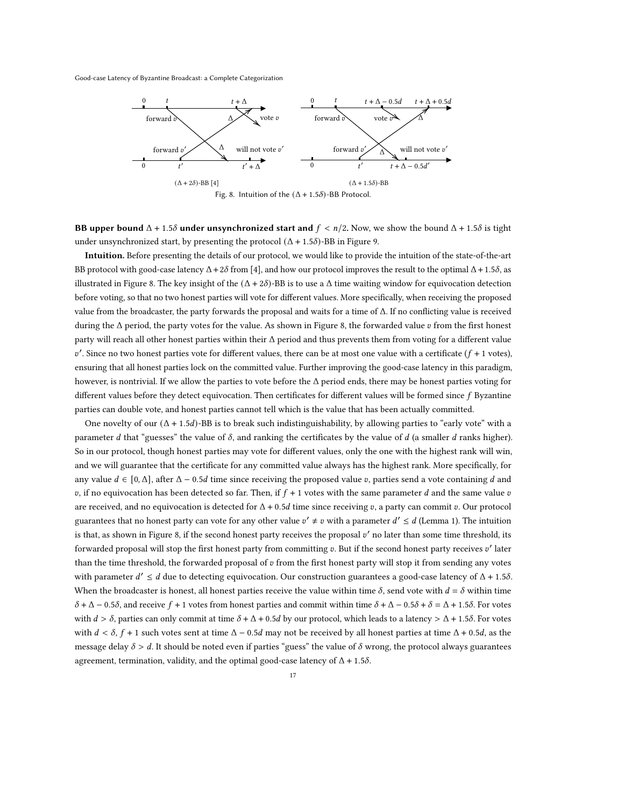<span id="page-16-0"></span>

**BB upper bound**  $\Delta$  + 1.5 $\delta$  **under unsynchronized start and**  $f < n/2$ . Now, we show the bound  $\Delta$  + 1.5 $\delta$  is tight under unsynchronized start, by presenting the protocol  $(Δ + 1.5δ)$ -BB in Figure [9.](#page-17-0)

Intuition. Before presenting the details of our protocol, we would like to provide the intuition of the state-of-the-art BB protocol with good-case latency  $\Delta + 2\delta$  from [\[4\]](#page-20-1), and how our protocol improves the result to the optimal  $\Delta + 1.5\delta$ , as illustrated in Figure [8.](#page-16-0) The key insight of the  $(\Delta + 2\delta)$ -BB is to use a  $\Delta$  time waiting window for equivocation detection before voting, so that no two honest parties will vote for different values. More specifically, when receiving the proposed value from the broadcaster, the party forwards the proposal and waits for a time of Δ. If no conflicting value is received during the  $\Delta$  period, the party votes for the value. As shown in Figure [8,](#page-16-0) the forwarded value v from the first honest party will reach all other honest parties within their  $\Delta$  period and thus prevents them from voting for a different value  $v'$ . Since no two honest parties vote for different values, there can be at most one value with a certificate ( $f + 1$  votes), ensuring that all honest parties lock on the committed value. Further improving the good-case latency in this paradigm, however, is nontrivial. If we allow the parties to vote before the Δ period ends, there may be honest parties voting for different values before they detect equivocation. Then certificates for different values will be formed since  $f$  Byzantine parties can double vote, and honest parties cannot tell which is the value that has been actually committed.

One novelty of our  $(\Delta + 1.5d)$ -BB is to break such indistinguishability, by allowing parties to "early vote" with a parameter  $d$  that "guesses" the value of  $\delta$ , and ranking the certificates by the value of  $d$  (a smaller  $d$  ranks higher). So in our protocol, though honest parties may vote for different values, only the one with the highest rank will win, and we will guarantee that the certificate for any committed value always has the highest rank. More specifically, for any value  $d \in [0, \Delta]$ , after  $\Delta - 0.5d$  time since receiving the proposed value v, parties send a vote containing d and v, if no equivocation has been detected so far. Then, if  $f + 1$  votes with the same parameter d and the same value v are received, and no equivocation is detected for  $\Delta + 0.5d$  time since receiving v, a party can commit v. Our protocol guarantees that no honest party can vote for any other value  $v' \neq v$  with a parameter  $d' \leq d$  (Lemma [1\)](#page-17-1). The intuition is that, as shown in Figure [8,](#page-16-0) if the second honest party receives the proposal  $v'$  no later than some time threshold, its forwarded proposal will stop the first honest party from committing v. But if the second honest party receives  $v'$  later than the time threshold, the forwarded proposal of  $v$  from the first honest party will stop it from sending any votes with parameter  $d' \leq d$  due to detecting equivocation. Our construction guarantees a good-case latency of  $\Delta$  + 1.5 $\delta$ . When the broadcaster is honest, all honest parties receive the value within time  $\delta$ , send vote with  $d = \delta$  within time  $\delta + \Delta - 0.5\delta$ , and receive  $f + 1$  votes from honest parties and commit within time  $\delta + \Delta - 0.5\delta + \delta = \Delta + 1.5\delta$ . For votes with  $d > \delta$ , parties can only commit at time  $\delta + \Delta + 0.5d$  by our protocol, which leads to a latency  $> \Delta + 1.5\delta$ . For votes with  $d < \delta$ ,  $f + 1$  such votes sent at time  $\Delta - 0.5d$  may not be received by all honest parties at time  $\Delta + 0.5d$ , as the message delay  $\delta > d$ . It should be noted even if parties "guess" the value of  $\delta$  wrong, the protocol always guarantees agreement, termination, validity, and the optimal good-case latency of  $\Delta$  + 1.5 $\delta$ .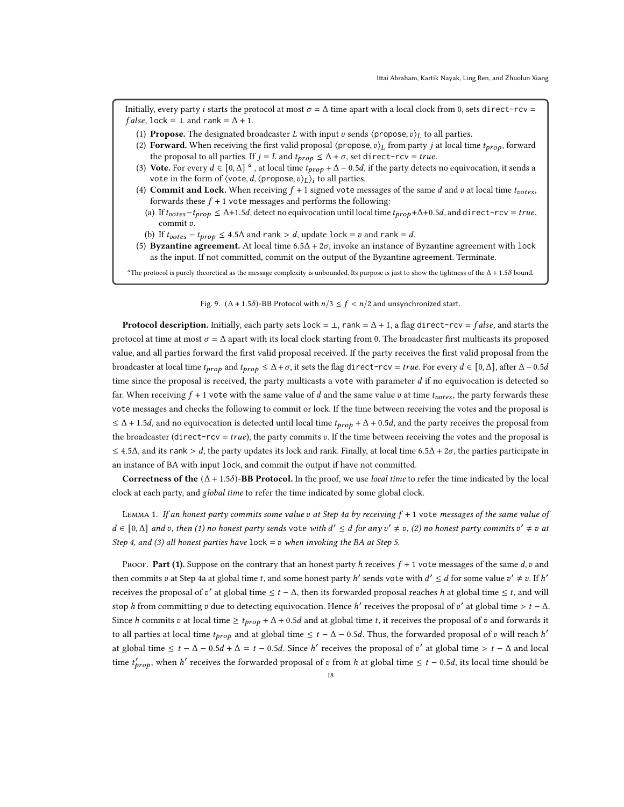<span id="page-17-0"></span>Initially, every party *i* starts the protocol at most  $\sigma = \Delta$  time apart with a local clock from 0, sets direct-rcv = *false*, lock =  $\perp$  and rank =  $\Delta$  + 1.

- (1) Propose. The designated broadcaster *L* with input *v* sends  $\langle$  propose,  $v \rangle_L$  to all parties.
- (2) Forward. When receiving the first valid proposal  $\langle$ propose,  $v \rangle_L$  from party *j* at local time  $t_{prop}$ , forward the proposal to all parties. If  $j = L$  and  $t_{prop} \leq \Delta + \sigma$ , set direct-rcv = true.
- <span id="page-17-7"></span>(3) Vote. For every  $d \in [0,\Delta]^d$  $d \in [0,\Delta]^d$  $d \in [0,\Delta]^d$ , at local time  $t_{prop} + \Delta - 0.5d$ , if the party detects no equivocation, it sends a vote in the form of  $\langle \text{vote}, d, \langle \text{propose}, v \rangle_L \rangle_i$  to all parties.
- <span id="page-17-4"></span><span id="page-17-3"></span>(4) Commit and Lock. When receiving  $f + 1$  signed vote messages of the same  $d$  and  $v$  at local time  $t_{votes}$ , forwards these  $f + 1$  vote messages and performs the following:
	- (a) If  $t_{votes} t_{prop} \le \Delta + 1.5d$ , detect no equivocation until local time  $t_{prop} + \Delta + 0.5d$ , and direct-rcv = true, commit v.
- <span id="page-17-6"></span>(b) If  $t_{votes} - t_{prop} \leq 4.5\Delta$  and rank > d, update lock = v and rank = d.
- <span id="page-17-5"></span>(5) Byzantine agreement. At local time  $6.5\Delta + 2\sigma$ , invoke an instance of Byzantine agreement with lock as the input. If not committed, commit on the output of the Byzantine agreement. Terminate.

<span id="page-17-2"></span><sup>a</sup>The protocol is purely theoretical as the message complexity is unbounded. Its purpose is just to show the tightness of the  $\Delta$  + 1.5 $\delta$  bound.

#### Fig. 9.  $(\Delta + 1.5\delta)$ -BB Protocol with  $n/3 \le f < n/2$  and unsynchronized start.

**Protocol description.** Initially, each party sets lock =  $\bot$ , rank =  $\Delta$  + 1, a flag direct-rcv = false, and starts the protocol at time at most  $\sigma = \Delta$  apart with its local clock starting from 0. The broadcaster first multicasts its proposed value, and all parties forward the first valid proposal received. If the party receives the first valid proposal from the broadcaster at local time  $t_{prop}$  and  $t_{prop} \leq \Delta + \sigma$ , it sets the flag direct-rcv = true. For every  $d \in [0, \Delta]$ , after  $\Delta - 0.5d$ time since the proposal is received, the party multicasts a vote with parameter  $d$  if no equivocation is detected so far. When receiving  $f + 1$  vote with the same value of d and the same value v at time  $t_{ootes}$ , the party forwards these vote messages and checks the following to commit or lock. If the time between receiving the votes and the proposal is  $\leq \Delta$  + 1.5d, and no equivocation is detected until local time  $t_{prop} + \Delta$  + 0.5d, and the party receives the proposal from the broadcaster (direct-rcv =  $true$ ), the party commits  $v$ . If the time between receiving the votes and the proposal is  $\leq$  4.5 $\Delta$ , and its rank > d, the party updates its lock and rank. Finally, at local time 6.5 $\Delta$  + 2 $\sigma$ , the parties participate in an instance of BA with input lock, and commit the output if have not committed.

Correctness of the  $(\Delta + 1.5\delta)$ -BB Protocol. In the proof, we use local time to refer the time indicated by the local clock at each party, and global time to refer the time indicated by some global clock.

<span id="page-17-1"></span>LEMMA 1. If an honest party commits some value  $v$  at Step [4a](#page-17-3) by receiving  $f + 1$  vote messages of the same value of  $d \in [0,\Delta]$  and v, then (1) no honest party sends vote with  $d' \leq d$  for any  $v' \neq v$ , (2) no honest party commits  $v' \neq v$  at Step [4,](#page-17-4) and (3) all honest parties have  $lock = v$  when invoking the BA at Step [5.](#page-17-5)

PROOF. Part (1). Suppose on the contrary that an honest party h receives  $f + 1$  vote messages of the same d,  $v$  and then commits v at Step [4a](#page-17-3) at global time t, and some honest party h' sends vote with  $d' \leq d$  for some value  $v' \neq v$ . If h' receives the proposal of v' at global time  $\leq t - \Delta$ , then its forwarded proposal reaches h at global time  $\leq t$ , and will stop h from committing v due to detecting equivocation. Hence h' receives the proposal of v' at global time >  $t - \Delta$ . Since h commits v at local time  $\geq t_{prop} + \Delta + 0.5d$  and at global time t, it receives the proposal of v and forwards it to all parties at local time  $t_{prop}$  and at global time  $\leq t - \Delta - 0.5d$ . Thus, the forwarded proposal of  $v$  will reach h' at global time  $\leq t - \Delta - 0.5d + \Delta = t - 0.5d$ . Since h' receives the proposal of v' at global time  $> t - \Delta$  and local time  $t'_{\text{prop}}$ , when h' receives the forwarded proposal of v from h at global time  $\leq t - 0.5d$ , its local time should be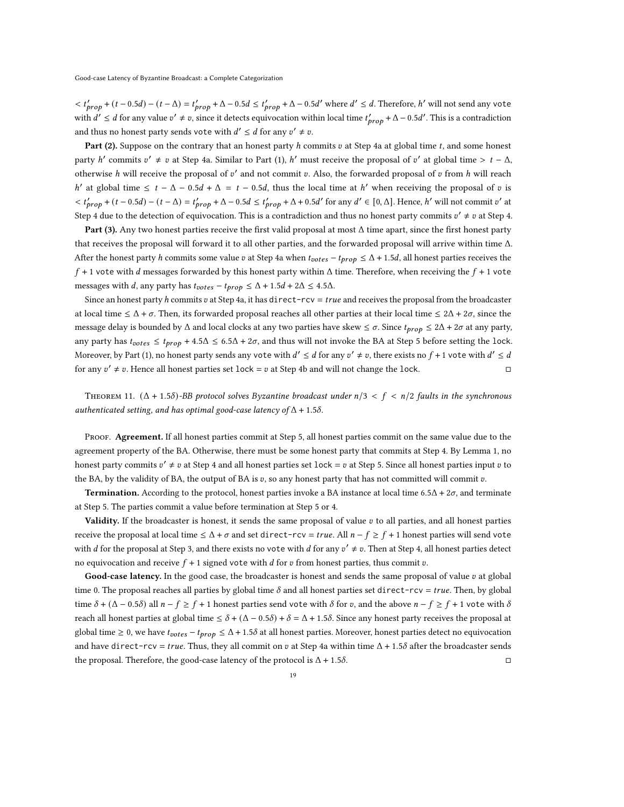$< t'_{\text{prop}} + (t - 0.5d) - (t - \Delta) = t'_{\text{prop}} + \Delta - 0.5d \le t'_{\text{prop}} + \Delta - 0.5d'$  where  $d' \le d$ . Therefore, h' will not send any vote with  $d' \leq d$  for any value  $v' \neq v$ , since it detects equivocation within local time  $t'_{prop} + \Delta - 0.5d'$ . This is a contradiction and thus no honest party sends vote with  $d' \leq d$  for any  $v' \neq v$ .

Part (2). Suppose on the contrary that an honest party  $h$  commits  $v$  at Step [4a](#page-17-3) at global time  $t$ , and some honest party h' commits  $v' \neq v$  at Step [4a.](#page-17-3) Similar to Part (1), h' must receive the proposal of v' at global time  $> t - \Delta$ , otherwise h will receive the proposal of  $v'$  and not commit v. Also, the forwarded proposal of v from h will reach h' at global time  $\leq t - \Delta - 0.5d + \Delta = t - 0.5d$ , thus the local time at h' when receiving the proposal of v is  $< t'_{\text{prop}} + (t - 0.5d) - (t - \Delta) = t'_{\text{prop}} + \Delta - 0.5d \le t'_{\text{prop}} + \Delta + 0.5d'$  for any  $d' \in [0, \Delta]$ . Hence, h' will not commit v' at Step [4](#page-17-4) due to the detection of equivocation. This is a contradiction and thus no honest party commits  $v' \neq v$  at Step [4.](#page-17-4)

Part (3). Any two honest parties receive the first valid proposal at most  $\Delta$  time apart, since the first honest party that receives the proposal will forward it to all other parties, and the forwarded proposal will arrive within time Δ. After the honest party *h* commits some value *v* at Step [4a](#page-17-3) when  $t_{notes} - t_{prop} \leq \Delta + 1.5d$ , all honest parties receives the  $f + 1$  vote with d messages forwarded by this honest party within  $\Delta$  time. Therefore, when receiving the  $f + 1$  vote messages with *d*, any party has  $t_{votes} - t_{prop} \le \Delta + 1.5d + 2\Delta \le 4.5\Delta$ .

Since an honest party h commits v at Step [4a,](#page-17-3) it has direct-rcv =  $true$  and receives the proposal from the broadcaster at local time  $\leq \Delta + \sigma$ . Then, its forwarded proposal reaches all other parties at their local time  $\leq 2\Delta + 2\sigma$ , since the message delay is bounded by  $\Delta$  and local clocks at any two parties have skew  $\leq \sigma$ . Since  $t_{prop} \leq 2\Delta + 2\sigma$  at any party, any party has  $t_{notes} \leq t_{prop} + 4.5\Delta \leq 6.5\Delta + 2\sigma$ , and thus will not invoke the BA at Step [5](#page-17-5) before setting the lock. Moreover, by Part (1), no honest party sends any vote with  $d' \le d$  for any  $v' \ne v$ , there exists no  $f + 1$  vote with  $d' \le d$ for any  $v' \neq v$ . Hence all honest parties set lock =  $v$  at Step [4b](#page-17-6) and will not change the lock.

<span id="page-18-0"></span>THEOREM 11.  $(\Delta + 1.5\delta)$ -BB protocol solves Byzantine broadcast under  $n/3 < f < n/2$  faults in the synchronous authenticated setting, and has optimal good-case latency of  $\Delta$  + 1.5 $\delta$ .

PROOF. Agreement. If all honest parties commit at Step [5,](#page-17-5) all honest parties commit on the same value due to the agreement property of the BA. Otherwise, there must be some honest party that commits at Step [4.](#page-17-4) By Lemma [1,](#page-17-1) no honest party commits  $v' \neq v$  at Step [4](#page-17-4) and all honest parties set lock =  $v$  at Step [5.](#page-17-5) Since all honest parties input  $v$  to the BA, by the validity of BA, the output of BA is  $v$ , so any honest party that has not committed will commit  $v$ .

**Termination.** According to the protocol, honest parties invoke a BA instance at local time 6.5Δ + 2 $\sigma$ , and terminate at Step [5.](#page-17-5) The parties commit a value before termination at Step [5](#page-17-5) or [4.](#page-17-4)

Validity. If the broadcaster is honest, it sends the same proposal of value  $v$  to all parties, and all honest parties receive the proposal at local time  $\leq \Delta + \sigma$  and set direct-rcv = true. All  $n - f \geq f + 1$  honest parties will send vote with d for the proposal at Step [3,](#page-17-7) and there exists no vote with d for any  $v' \neq v$ . Then at Step [4,](#page-17-4) all honest parties detect no equivocation and receive  $f + 1$  signed vote with d for v from honest parties, thus commit v.

Good-case latency. In the good case, the broadcaster is honest and sends the same proposal of value  $v$  at global time 0. The proposal reaches all parties by global time  $\delta$  and all honest parties set direct-rcv = true. Then, by global time  $\delta + (\Delta - 0.5\delta)$  all  $n - f \ge f + 1$  honest parties send vote with  $\delta$  for v, and the above  $n - f \ge f + 1$  vote with  $\delta$ reach all honest parties at global time  $\leq \delta + (\Delta - 0.5\delta) + \delta = \Delta + 1.5\delta$ . Since any honest party receives the proposal at global time  $\geq 0$ , we have  $t_{votes} - t_{prop} \leq \Delta + 1.5\delta$  at all honest parties. Moreover, honest parties detect no equivocation and have direct-rcv = true. Thus, they all commit on v at Step [4a](#page-17-3) within time  $\Delta$  + 1.5 $\delta$  after the broadcaster sends the proposal. Therefore, the good-case latency of the protocol is  $\Delta + 1.5\delta$ .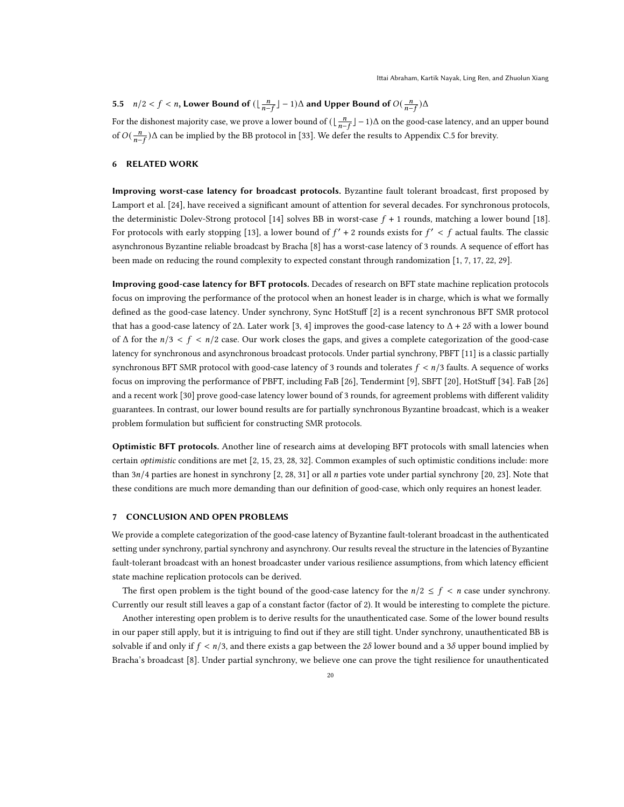# <span id="page-19-0"></span>5.5  $n/2 < f < n$ , Lower Bound of  $(\lfloor \frac{n}{n-f} \rfloor - 1)\Delta$  and Upper Bound of  $O(\frac{n}{n-f})\Delta$

For the dishonest majority case, we prove a lower bound of  $(\lfloor \frac{n}{n-f}\rfloor -1)\Delta$  on the good-case latency, and an upper bound of  $O(\frac{n}{n-f})\Delta$  can be implied by the BB protocol in [\[33\]](#page-21-0). We defer the results to Appendix [C.5](#page-31-0) for brevity.

## 6 RELATED WORK

Improving worst-case latency for broadcast protocols. Byzantine fault tolerant broadcast, first proposed by Lamport et al. [\[24\]](#page-20-18), have received a significant amount of attention for several decades. For synchronous protocols, the deterministic Dolev-Strong protocol [\[14\]](#page-20-19) solves BB in worst-case  $f + 1$  rounds, matching a lower bound [\[18\]](#page-20-6). For protocols with early stopping [\[13\]](#page-20-17), a lower bound of  $f' + 2$  rounds exists for  $f' < f$  actual faults. The classic asynchronous Byzantine reliable broadcast by Bracha [\[8\]](#page-20-20) has a worst-case latency of 3 rounds. A sequence of effort has been made on reducing the round complexity to expected constant through randomization [\[1,](#page-20-12) [7,](#page-20-21) [17,](#page-20-22) [22,](#page-20-23) [29\]](#page-21-2).

Improving good-case latency for BFT protocols. Decades of research on BFT state machine replication protocols focus on improving the performance of the protocol when an honest leader is in charge, which is what we formally defined as the good-case latency. Under synchrony, Sync HotStuff [\[2\]](#page-20-0) is a recent synchronous BFT SMR protocol that has a good-case latency of 2Δ. Later work [\[3,](#page-20-9) [4\]](#page-20-1) improves the good-case latency to  $Δ + 2δ$  with a lower bound of  $\Delta$  for the  $n/3 < f < n/2$  case. Our work closes the gaps, and gives a complete categorization of the good-case latency for synchronous and asynchronous broadcast protocols. Under partial synchrony, PBFT [\[11\]](#page-20-2) is a classic partially synchronous BFT SMR protocol with good-case latency of 3 rounds and tolerates  $f < n/3$  faults. A sequence of works focus on improving the performance of PBFT, including FaB [\[26\]](#page-20-5), Tendermint [\[9\]](#page-20-24), SBFT [\[20\]](#page-20-3), HotStuff [\[34\]](#page-21-3). FaB [\[26\]](#page-20-5) and a recent work [\[30\]](#page-21-4) prove good-case latency lower bound of 3 rounds, for agreement problems with different validity guarantees. In contrast, our lower bound results are for partially synchronous Byzantine broadcast, which is a weaker problem formulation but sufficient for constructing SMR protocols.

Optimistic BFT protocols. Another line of research aims at developing BFT protocols with small latencies when certain optimistic conditions are met [\[2,](#page-20-0) [15,](#page-20-25) [23,](#page-20-4) [28,](#page-21-5) [32\]](#page-21-6). Common examples of such optimistic conditions include: more than  $3n/4$  parties are honest in synchrony [\[2,](#page-20-0) [28,](#page-21-5) [31\]](#page-21-1) or all *n* parties vote under partial synchrony [\[20,](#page-20-3) [23\]](#page-20-4). Note that these conditions are much more demanding than our definition of good-case, which only requires an honest leader.

#### 7 CONCLUSION AND OPEN PROBLEMS

We provide a complete categorization of the good-case latency of Byzantine fault-tolerant broadcast in the authenticated setting under synchrony, partial synchrony and asynchrony. Our results reveal the structure in the latencies of Byzantine fault-tolerant broadcast with an honest broadcaster under various resilience assumptions, from which latency efficient state machine replication protocols can be derived.

The first open problem is the tight bound of the good-case latency for the  $n/2 \le f < n$  case under synchrony. Currently our result still leaves a gap of a constant factor (factor of 2). It would be interesting to complete the picture.

Another interesting open problem is to derive results for the unauthenticated case. Some of the lower bound results in our paper still apply, but it is intriguing to find out if they are still tight. Under synchrony, unauthenticated BB is solvable if and only if  $f < n/3$ , and there exists a gap between the 28 lower bound and a 38 upper bound implied by Bracha's broadcast [\[8\]](#page-20-20). Under partial synchrony, we believe one can prove the tight resilience for unauthenticated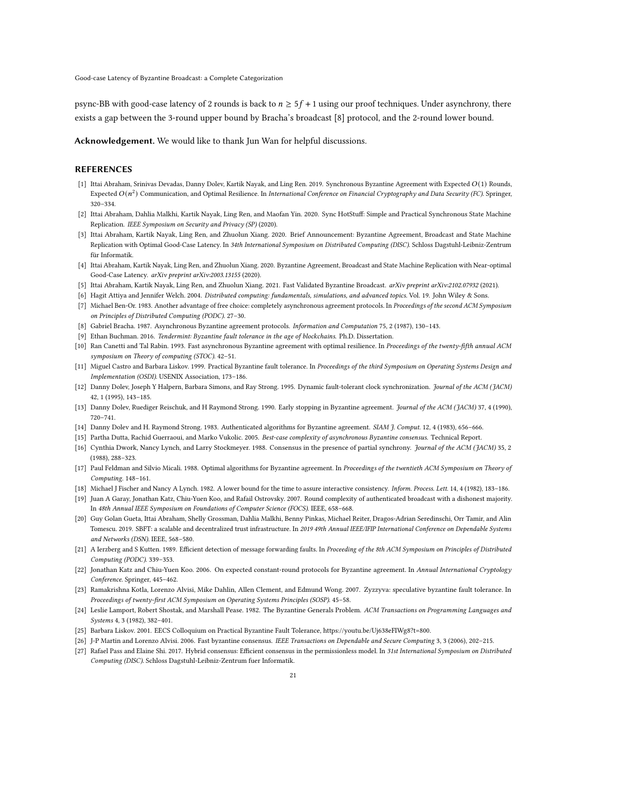psync-BB with good-case latency of 2 rounds is back to  $n \geq 5f + 1$  using our proof techniques. Under asynchrony, there exists a gap between the 3-round upper bound by Bracha's broadcast [\[8\]](#page-20-20) protocol, and the 2-round lower bound.

Acknowledgement. We would like to thank Jun Wan for helpful discussions.

#### REFERENCES

- <span id="page-20-12"></span>[1] Ittai Abraham, Srinivas Devadas, Danny Dolev, Kartik Nayak, and Ling Ren. 2019. Synchronous Byzantine Agreement with Expected (1) Rounds, Expected  $O(n^2)$  Communication, and Optimal Resilience. In International Conference on Financial Cryptography and Data Security (FC). Springer, 320–334.
- <span id="page-20-0"></span>[2] Ittai Abraham, Dahlia Malkhi, Kartik Nayak, Ling Ren, and Maofan Yin. 2020. Sync HotStuff: Simple and Practical Synchronous State Machine Replication. IEEE Symposium on Security and Privacy (SP) (2020).
- <span id="page-20-9"></span>[3] Ittai Abraham, Kartik Nayak, Ling Ren, and Zhuolun Xiang. 2020. Brief Announcement: Byzantine Agreement, Broadcast and State Machine Replication with Optimal Good-Case Latency. In 34th International Symposium on Distributed Computing (DISC). Schloss Dagstuhl-Leibniz-Zentrum für Informatik.
- <span id="page-20-1"></span>[4] Ittai Abraham, Kartik Nayak, Ling Ren, and Zhuolun Xiang. 2020. Byzantine Agreement, Broadcast and State Machine Replication with Near-optimal Good-Case Latency. arXiv preprint arXiv:2003.13155 (2020).
- <span id="page-20-8"></span>[5] Ittai Abraham, Kartik Nayak, Ling Ren, and Zhuolun Xiang. 2021. Fast Validated Byzantine Broadcast. arXiv preprint arXiv:2102.07932 (2021).
- <span id="page-20-21"></span><span id="page-20-14"></span>[6] Hagit Attiya and Jennifer Welch. 2004. Distributed computing: fundamentals, simulations, and advanced topics. Vol. 19. John Wiley & Sons.
- [7] Michael Ben-Or. 1983. Another advantage of free choice: completely asynchronous agreement protocols. In Proceedings of the second ACM Symposium on Principles of Distributed Computing (PODC). 27–30.
- <span id="page-20-20"></span>[8] Gabriel Bracha. 1987. Asynchronous Byzantine agreement protocols. Information and Computation 75, 2 (1987), 130–143.
- <span id="page-20-24"></span>[9] Ethan Buchman. 2016. Tendermint: Byzantine fault tolerance in the age of blockchains. Ph.D. Dissertation.
- <span id="page-20-15"></span>[10] Ran Canetti and Tal Rabin. 1993. Fast asynchronous Byzantine agreement with optimal resilience. In Proceedings of the twenty-fifth annual ACM symposium on Theory of computing (STOC). 42–51.
- <span id="page-20-2"></span>[11] Miguel Castro and Barbara Liskov. 1999. Practical Byzantine fault tolerance. In Proceedings of the third Symposium on Operating Systems Design and Implementation (OSDI). USENIX Association, 173–186.
- <span id="page-20-13"></span>[12] Danny Dolev, Joseph Y Halpern, Barbara Simons, and Ray Strong. 1995. Dynamic fault-tolerant clock synchronization. Journal of the ACM (JACM) 42, 1 (1995), 143–185.
- <span id="page-20-17"></span>[13] Danny Dolev, Ruediger Reischuk, and H Raymond Strong. 1990. Early stopping in Byzantine agreement. Journal of the ACM (JACM) 37, 4 (1990), 720–741.
- <span id="page-20-19"></span>[14] Danny Dolev and H. Raymond Strong. 1983. Authenticated algorithms for Byzantine agreement. SIAM J. Comput. 12, 4 (1983), 656-666.
- <span id="page-20-25"></span>[15] Partha Dutta, Rachid Guerraoui, and Marko Vukolic. 2005. Best-case complexity of asynchronous Byzantine consensus. Technical Report.
- <span id="page-20-16"></span>[16] Cynthia Dwork, Nancy Lynch, and Larry Stockmeyer. 1988. Consensus in the presence of partial synchrony. Journal of the ACM (JACM) 35, 2 (1988), 288–323.
- <span id="page-20-22"></span>[17] Paul Feldman and Silvio Micali. 1988. Optimal algorithms for Byzantine agreement. In Proceedings of the twentieth ACM Symposium on Theory of Computing. 148–161.
- <span id="page-20-6"></span>[18] Michael J Fischer and Nancy A Lynch. 1982. A lower bound for the time to assure interactive consistency. Inform. Process. Lett. 14, 4 (1982), 183-186.
- <span id="page-20-26"></span>[19] Juan A Garay, Jonathan Katz, Chiu-Yuen Koo, and Rafail Ostrovsky. 2007. Round complexity of authenticated broadcast with a dishonest majority. In 48th Annual IEEE Symposium on Foundations of Computer Science (FOCS). IEEE, 658–668.
- <span id="page-20-3"></span>[20] Guy Golan Gueta, Ittai Abraham, Shelly Grossman, Dahlia Malkhi, Benny Pinkas, Michael Reiter, Dragos-Adrian Seredinschi, Orr Tamir, and Alin Tomescu. 2019. SBFT: a scalable and decentralized trust infrastructure. In 2019 49th Annual IEEE/IFIP International Conference on Dependable Systems and Networks (DSN). IEEE, 568–580.
- <span id="page-20-10"></span>[21] A Ierzberg and S Kutten. 1989. Efficient detection of message forwarding faults. In Proceeding of the 8th ACM Symposium on Principles of Distributed Computing (PODC). 339–353.
- <span id="page-20-23"></span>[22] Jonathan Katz and Chiu-Yuen Koo. 2006. On expected constant-round protocols for Byzantine agreement. In Annual International Cryptology Conference. Springer, 445–462.
- <span id="page-20-4"></span>[23] Ramakrishna Kotla, Lorenzo Alvisi, Mike Dahlin, Allen Clement, and Edmund Wong. 2007. Zyzzyva: speculative byzantine fault tolerance. In Proceedings of twenty-first ACM Symposium on Operating Systems Principles (SOSP). 45–58.
- <span id="page-20-18"></span>[24] Leslie Lamport, Robert Shostak, and Marshall Pease. 1982. The Byzantine Generals Problem. ACM Transactions on Programming Languages and Systems 4, 3 (1982), 382–401.
- <span id="page-20-7"></span>[25] Barbara Liskov. 2001. EECS Colloquium on Practical Byzantine Fault Tolerance, [https://youtu.be/Uj638eFIWg8?t=800.](https://youtu.be/Uj638eFIWg8?t=800)
- <span id="page-20-5"></span>[26] J-P Martin and Lorenzo Alvisi. 2006. Fast byzantine consensus. IEEE Transactions on Dependable and Secure Computing 3, 3 (2006), 202–215.
- <span id="page-20-11"></span>[27] Rafael Pass and Elaine Shi. 2017. Hybrid consensus: Efficient consensus in the permissionless model. In 31st International Symposium on Distributed Computing (DISC). Schloss Dagstuhl-Leibniz-Zentrum fuer Informatik.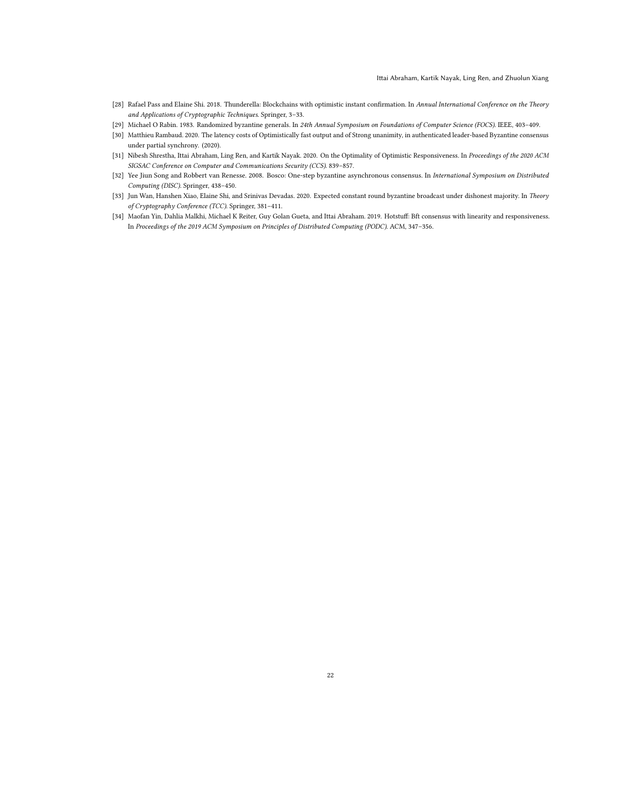- <span id="page-21-5"></span>[28] Rafael Pass and Elaine Shi. 2018. Thunderella: Blockchains with optimistic instant confirmation. In Annual International Conference on the Theory and Applications of Cryptographic Techniques. Springer, 3–33.
- <span id="page-21-2"></span>[29] Michael O Rabin. 1983. Randomized byzantine generals. In 24th Annual Symposium on Foundations of Computer Science (FOCS). IEEE, 403–409.
- <span id="page-21-4"></span>[30] Matthieu Rambaud. 2020. The latency costs of Optimistically fast output and of Strong unanimity, in authenticated leader-based Byzantine consensus under partial synchrony. (2020).
- <span id="page-21-1"></span>[31] Nibesh Shrestha, Ittai Abraham, Ling Ren, and Kartik Nayak. 2020. On the Optimality of Optimistic Responsiveness. In Proceedings of the 2020 ACM SIGSAC Conference on Computer and Communications Security (CCS). 839–857.
- <span id="page-21-6"></span>[32] Yee Jiun Song and Robbert van Renesse. 2008. Bosco: One-step byzantine asynchronous consensus. In International Symposium on Distributed Computing (DISC). Springer, 438–450.
- <span id="page-21-0"></span>[33] Jun Wan, Hanshen Xiao, Elaine Shi, and Srinivas Devadas. 2020. Expected constant round byzantine broadcast under dishonest majority. In Theory of Cryptography Conference (TCC). Springer, 381–411.
- <span id="page-21-3"></span>[34] Maofan Yin, Dahlia Malkhi, Michael K Reiter, Guy Golan Gueta, and Ittai Abraham. 2019. Hotstuff: Bft consensus with linearity and responsiveness. In Proceedings of the 2019 ACM Symposium on Principles of Distributed Computing (PODC). ACM, 347–356.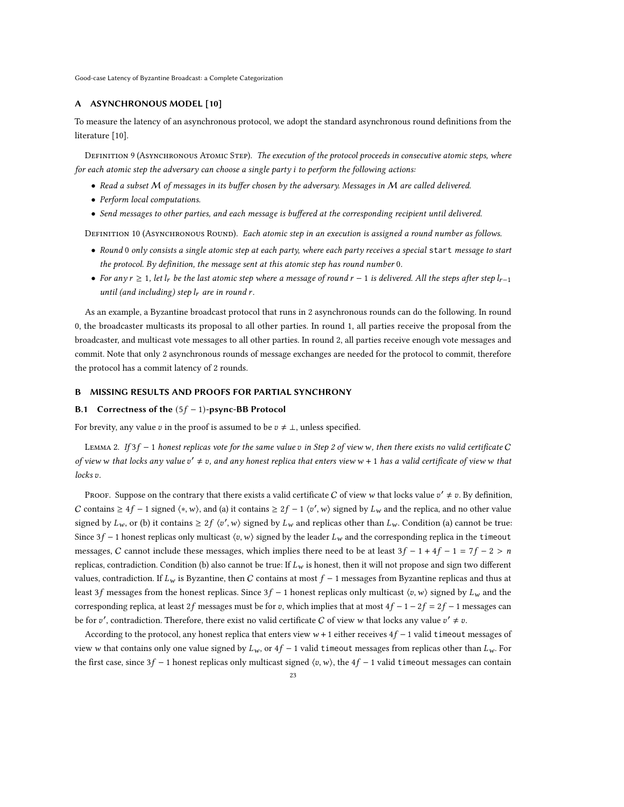#### <span id="page-22-0"></span>A ASYNCHRONOUS MODEL [\[10\]](#page-20-15)

To measure the latency of an asynchronous protocol, we adopt the standard asynchronous round definitions from the literature [\[10\]](#page-20-15).

DEFINITION 9 (ASYNCHRONOUS ATOMIC STEP). The execution of the protocol proceeds in consecutive atomic steps, where for each atomic step the adversary can choose a single party *i* to perform the following actions:

- Read a subset M of messages in its buffer chosen by the adversary. Messages in M are called delivered.
- Perform local computations.
- Send messages to other parties, and each message is buffered at the corresponding recipient until delivered.

DEFINITION 10 (ASYNCHRONOUS ROUND). Each atomic step in an execution is assigned a round number as follows.

- Round 0 only consists a single atomic step at each party, where each party receives a special start message to start the protocol. By definition, the message sent at this atomic step has round number 0.
- For any  $r \ge 1$ , let  $l_r$  be the last atomic step where a message of round  $r 1$  is delivered. All the steps after step  $l_{r-1}$ until (and including) step  $l_r$  are in round r.

As an example, a Byzantine broadcast protocol that runs in 2 asynchronous rounds can do the following. In round 0, the broadcaster multicasts its proposal to all other parties. In round 1, all parties receive the proposal from the broadcaster, and multicast vote messages to all other parties. In round 2, all parties receive enough vote messages and commit. Note that only 2 asynchronous rounds of message exchanges are needed for the protocol to commit, therefore the protocol has a commit latency of 2 rounds.

## B MISSING RESULTS AND PROOFS FOR PARTIAL SYNCHRONY

## <span id="page-22-1"></span>B.1 Correctness of the  $(5f - 1)$ -psync-BB Protocol

For brevity, any value v in the proof is assumed to be  $v \neq \bot$ , unless specified.

<span id="page-22-2"></span>LEMMA [2](#page-8-2). If  $3f - 1$  honest replicas vote for the same value v in Step 2 of view w, then there exists no valid certificate C of view w that locks any value  $v' \neq v$ , and any honest replica that enters view w + 1 has a valid certificate of view w that  $locks v.$ 

Proof. Suppose on the contrary that there exists a valid certificate C of view w that locks value  $v' \neq v$ . By definition, C contains  $\geq 4f - 1$  signed  $\langle *, w \rangle$ , and (a) it contains  $\geq 2f - 1$   $\langle v', w \rangle$  signed by  $L_w$  and the replica, and no other value signed by  $L_w$ , or (b) it contains  $\geq 2f \langle v', w \rangle$  signed by  $L_w$  and replicas other than  $L_w$ . Condition (a) cannot be true: Since 3  $f - 1$  honest replicas only multicast  $\langle v, w \rangle$  signed by the leader  $L_w$  and the corresponding replica in the timeout messages, C cannot include these messages, which implies there need to be at least  $3f - 1 + 4f - 1 = 7f - 2 > n$ replicas, contradiction. Condition (b) also cannot be true: If  $L_w$  is honest, then it will not propose and sign two different values, contradiction. If  $L_w$  is Byzantine, then C contains at most  $f - 1$  messages from Byzantine replicas and thus at least 3f messages from the honest replicas. Since  $3f - 1$  honest replicas only multicast  $\langle v, w \rangle$  signed by  $L_w$  and the corresponding replica, at least 2f messages must be for v, which implies that at most  $4f - 1 - 2f = 2f - 1$  messages can be for v', contradiction. Therefore, there exist no valid certificate C of view w that locks any value  $v' \neq v$ .

According to the protocol, any honest replica that enters view  $w + 1$  either receives  $4f - 1$  valid timeout messages of view w that contains only one value signed by  $L_w$ , or  $4f - 1$  valid timeout messages from replicas other than  $L_w$ . For the first case, since 3f – 1 honest replicas only multicast signed  $\langle v, w \rangle$ , the 4f – 1 valid timeout messages can contain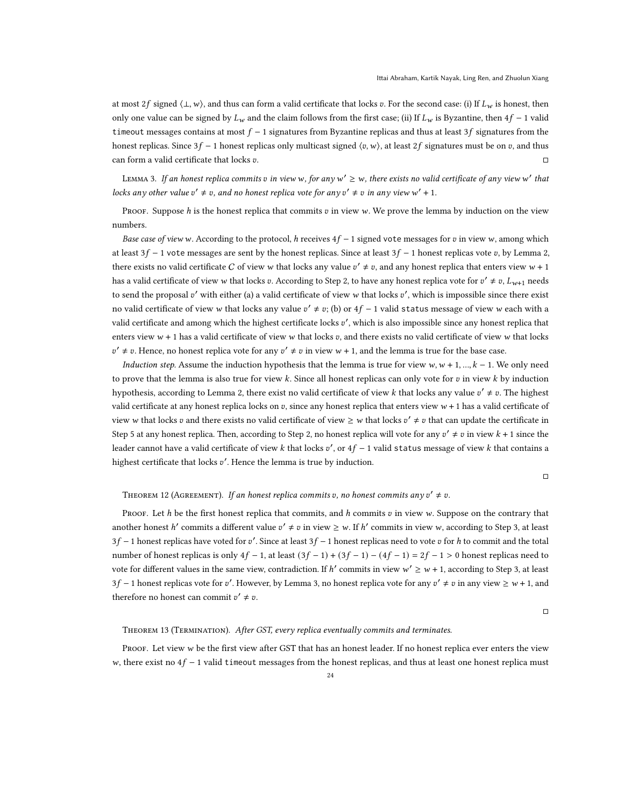at most 2f signed  $\langle \perp, w \rangle$ , and thus can form a valid certificate that locks v. For the second case: (i) If  $L_w$  is honest, then only one value can be signed by  $L_w$  and the claim follows from the first case; (ii) If  $L_w$  is Byzantine, then  $4f - 1$  valid timeout messages contains at most  $f - 1$  signatures from Byzantine replicas and thus at least 3f signatures from the honest replicas. Since  $3f - 1$  honest replicas only multicast signed  $\langle v, w \rangle$ , at least  $2f$  signatures must be on  $v$ , and thus can form a valid certificate that locks  $v$ .  $\Box$ 

<span id="page-23-0"></span>LEMMA 3. If an honest replica commits  $v$  in view w, for any  $w'\ge w$ , there exists no valid certificate of any view  $w'$  that locks any other value  $v' \neq v$ , and no honest replica vote for any  $v' \neq v$  in any view w' + 1.

PROOF. Suppose  $h$  is the honest replica that commits  $v$  in view  $w$ . We prove the lemma by induction on the view numbers.

Base case of view w. According to the protocol, h receives  $4f - 1$  signed vote messages for v in view w, among which at least  $3f - 1$  vote messages are sent by the honest replicas. Since at least  $3f - 1$  honest replicas vote v, by Lemma [2,](#page-22-2) there exists no valid certificate C of view w that locks any value  $v' \neq v$ , and any honest replica that enters view  $w + 1$ has a valid certificate of view  $w$  that locks  $v$ . According to Step [2,](#page-8-2) to have any honest replica vote for  $v' \neq v$ ,  $L_{w+1}$  needs to send the proposal  $v'$  with either (a) a valid certificate of view w that locks  $v'$ , which is impossible since there exist no valid certificate of view w that locks any value  $v' \neq v$ ; (b) or  $4f - 1$  valid status message of view w each with a valid certificate and among which the highest certificate locks  $v'$ , which is also impossible since any honest replica that enters view  $w + 1$  has a valid certificate of view w that locks  $v$ , and there exists no valid certificate of view w that locks  $v' \neq v$ . Hence, no honest replica vote for any  $v' \neq v$  in view  $w + 1$ , and the lemma is true for the base case.

Induction step. Assume the induction hypothesis that the lemma is true for view  $w, w + 1, ..., k - 1$ . We only need to prove that the lemma is also true for view  $k$ . Since all honest replicas can only vote for  $v$  in view  $k$  by induction hypothesis, according to Lemma [2,](#page-22-2) there exist no valid certificate of view k that locks any value  $v' \neq v$ . The highest valid certificate at any honest replica locks on  $v$ , since any honest replica that enters view  $w + 1$  has a valid certificate of view w that locks  $v$  and there exists no valid certificate of view  $\geq w$  that locks  $v' \neq v$  that can update the certificate in Step [5](#page-8-4) at any honest replica. Then, according to Step [2,](#page-8-2) no honest replica will vote for any  $v' \neq v$  in view  $k + 1$  since the leader cannot have a valid certificate of view  $k$  that locks  $v'$ , or  $4f-1$  valid status message of view  $k$  that contains a highest certificate that locks v'. Hence the lemma is true by induction.

□

# THEOREM 12 (AGREEMENT). If an honest replica commits v, no honest commits any  $v' \neq v$ .

Proof. Let h be the first honest replica that commits, and h commits  $v$  in view w. Suppose on the contrary that another honest h' commits a different value  $v' \neq v$  in view  $\geq w$ . If h' commits in view w, according to Step [3,](#page-8-5) at least  $3f - 1$  honest replicas have voted for v'. Since at least  $3f - 1$  honest replicas need to vote v for h to commit and the total number of honest replicas is only  $4f - 1$ , at least  $(3f - 1) + (3f - 1) - (4f - 1) = 2f - 1 > 0$  honest replicas need to vote for different values in the same view, contradiction. If h' commits in view  $w' \geq w + 1$ , according to Step [3,](#page-8-5) at least 3f – 1 honest replicas vote for v'. However, by Lemma [3,](#page-23-0) no honest replica vote for any  $v' \neq v$  in any view  $\geq w + 1$ , and therefore no honest can commit  $v' \neq v$ .

□

#### Theorem 13 (Termination). After GST, every replica eventually commits and terminates.

Proof. Let view w be the first view after GST that has an honest leader. If no honest replica ever enters the view w, there exist no  $4f - 1$  valid timeout messages from the honest replicas, and thus at least one honest replica must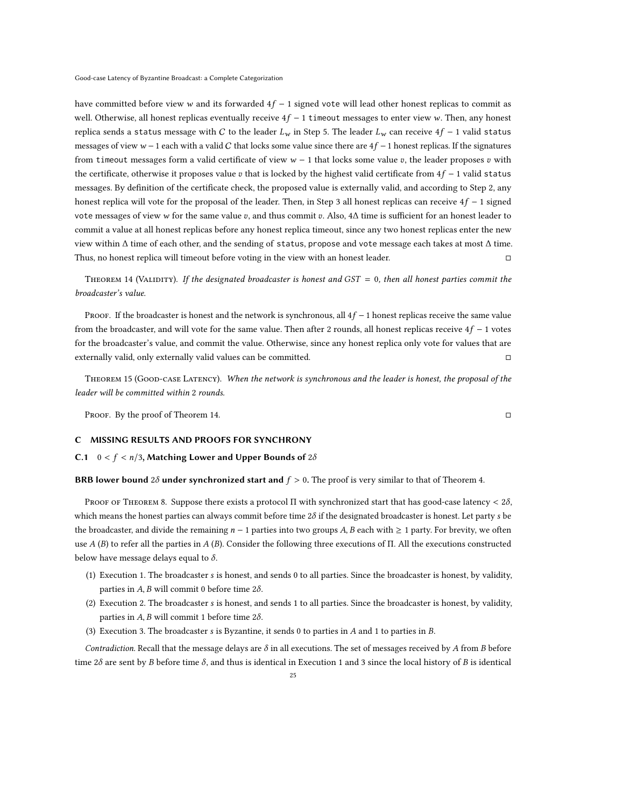have committed before view w and its forwarded  $4f - 1$  signed vote will lead other honest replicas to commit as well. Otherwise, all honest replicas eventually receive  $4f - 1$  timeout messages to enter view w. Then, any honest replica sends a status message with C to the leader  $L_w$  in Step [5.](#page-8-4) The leader  $L_w$  can receive  $4f - 1$  valid status messages of view  $w - 1$  each with a valid C that locks some value since there are  $4f - 1$  honest replicas. If the signatures from timeout messages form a valid certificate of view  $w - 1$  that locks some value v, the leader proposes v with the certificate, otherwise it proposes value v that is locked by the highest valid certificate from  $4f - 1$  valid status messages. By definition of the certificate check, the proposed value is externally valid, and according to Step [2,](#page-8-2) any honest replica will vote for the proposal of the leader. Then, in Step [3](#page-8-5) all honest replicas can receive  $4f - 1$  signed vote messages of view w for the same value v, and thus commit v. Also,  $4\Delta$  time is sufficient for an honest leader to commit a value at all honest replicas before any honest replica timeout, since any two honest replicas enter the new view within Δ time of each other, and the sending of status, propose and vote message each takes at most Δ time. Thus, no honest replica will timeout before voting in the view with an honest leader. □

<span id="page-24-1"></span>THEOREM 14 (VALIDITY). If the designated broadcaster is honest and  $GST = 0$ , then all honest parties commit the broadcaster's value.

PROOF. If the broadcaster is honest and the network is synchronous, all  $4f - 1$  honest replicas receive the same value from the broadcaster, and will vote for the same value. Then after 2 rounds, all honest replicas receive  $4f - 1$  votes for the broadcaster's value, and commit the value. Otherwise, since any honest replica only vote for values that are externally valid, only externally valid values can be committed. □

Theorem 15 (Good-case Latency). When the network is synchronous and the leader is honest, the proposal of the leader will be committed within 2 rounds.

PROOF. By the proof of Theorem [14.](#page-24-1) □

#### C MISSING RESULTS AND PROOFS FOR SYNCHRONY

#### <span id="page-24-0"></span>C.1  $0 < f < n/3$ , Matching Lower and Upper Bounds of 28

BRB lower bound 2 $\delta$  under synchronized start and  $f > 0$ . The proof is very similar to that of Theorem [4.](#page-5-1)

PROOF OF THEOREM [8.](#page-12-3) Suppose there exists a protocol  $\Pi$  with synchronized start that has good-case latency < 28, which means the honest parties can always commit before time  $2\delta$  if the designated broadcaster is honest. Let party s be the broadcaster, and divide the remaining  $n - 1$  parties into two groups A, B each with  $\geq 1$  party. For brevity, we often use  $A(B)$  to refer all the parties in  $A(B)$ . Consider the following three executions of Π. All the executions constructed below have message delays equal to  $\delta$ .

- (1) Execution 1. The broadcaster is honest, and sends 0 to all parties. Since the broadcaster is honest, by validity, parties in  $A$ ,  $B$  will commit 0 before time  $2\delta$ .
- (2) Execution 2. The broadcaster is honest, and sends 1 to all parties. Since the broadcaster is honest, by validity, parties in  $A$ ,  $B$  will commit 1 before time  $2\delta$ .
- (3) Execution 3. The broadcaster  $s$  is Byzantine, it sends 0 to parties in  $A$  and 1 to parties in  $B$ .

Contradiction. Recall that the message delays are  $\delta$  in all executions. The set of messages received by A from B before time 2 $\delta$  are sent by B before time  $\delta$ , and thus is identical in Execution 1 and 3 since the local history of B is identical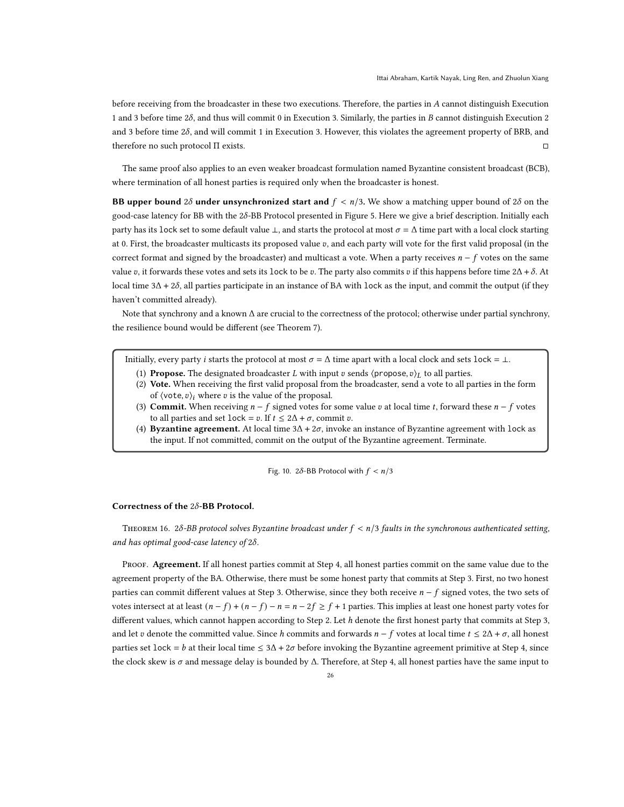before receiving from the broadcaster in these two executions. Therefore, the parties in A cannot distinguish Execution 1 and 3 before time  $2\delta$ , and thus will commit 0 in Execution 3. Similarly, the parties in B cannot distinguish Execution 2 and 3 before time  $2\delta$ , and will commit 1 in Execution 3. However, this violates the agreement property of BRB, and therefore no such protocol Π exists. □

The same proof also applies to an even weaker broadcast formulation named Byzantine consistent broadcast (BCB), where termination of all honest parties is required only when the broadcaster is honest.

BB upper bound 28 under unsynchronized start and  $f < n/3$ . We show a matching upper bound of 28 on the good-case latency for BB with the 28-BB Protocol presented in Figure [5.](#page-13-1) Here we give a brief description. Initially each party has its lock set to some default value  $\perp$ , and starts the protocol at most  $\sigma = \Delta$  time part with a local clock starting at 0. First, the broadcaster multicasts its proposed value  $v$ , and each party will vote for the first valid proposal (in the correct format and signed by the broadcaster) and multicast a vote. When a party receives  $n - f$  votes on the same value v, it forwards these votes and sets its lock to be v. The party also commits v if this happens before time  $2\Delta + \delta$ . At local time  $3\Delta + 2\delta$ , all parties participate in an instance of BA with lock as the input, and commit the output (if they haven't committed already).

Note that synchrony and a known Δ are crucial to the correctness of the protocol; otherwise under partial synchrony, the resilience bound would be different (see Theorem [7\)](#page-10-0).

<span id="page-25-0"></span>Initially, every party *i* starts the protocol at most  $\sigma = \Delta$  time apart with a local clock and sets lock = ⊥.

- (1) Propose. The designated broadcaster *L* with input *v* sends  $\langle$  propose,  $v \rangle_L$  to all parties.
- <span id="page-25-3"></span>(2) Vote. When receiving the first valid proposal from the broadcaster, send a vote to all parties in the form of  $\langle \text{vote}, v \rangle_i$  where v is the value of the proposal.
- <span id="page-25-2"></span>(3) Commit. When receiving  $n - f$  signed votes for some value v at local time t, forward these  $n - f$  votes to all parties and set lock =  $v$ . If  $t \leq 2\Delta + \sigma$ , commit  $v$ .
- <span id="page-25-1"></span>(4) Byzantine agreement. At local time  $3\Delta + 2\sigma$ , invoke an instance of Byzantine agreement with lock as the input. If not committed, commit on the output of the Byzantine agreement. Terminate.

Fig. 10. 2 $\delta$ -BB Protocol with  $f < n/3$ 

## Correctness of the  $2\delta$ -BB Protocol.

THEOREM 16. 2 $\delta$ -BB protocol solves Byzantine broadcast under  $f < n/3$  faults in the synchronous authenticated setting, and has optimal good-case latency of  $2\delta$ .

PROOF. Agreement. If all honest parties commit at Step [4,](#page-25-1) all honest parties commit on the same value due to the agreement property of the BA. Otherwise, there must be some honest party that commits at Step [3.](#page-25-2) First, no two honest parties can commit different values at Step [3.](#page-25-2) Otherwise, since they both receive  $n - f$  signed votes, the two sets of votes intersect at at least  $(n - f) + (n - f) - n = n - 2f \ge f + 1$  parties. This implies at least one honest party votes for different values, which cannot happen according to Step [2.](#page-25-3) Let h denote the first honest party that commits at Step [3,](#page-25-2) and let v denote the committed value. Since h commits and forwards  $n - f$  votes at local time  $t \le 2\Delta + \sigma$ , all honest parties set lock = b at their local time  $\leq 3\Delta + 2\sigma$  before invoking the Byzantine agreement primitive at Step [4,](#page-25-1) since the clock skew is  $\sigma$  and message delay is bounded by  $\Delta$ . Therefore, at Step [4,](#page-25-1) all honest parties have the same input to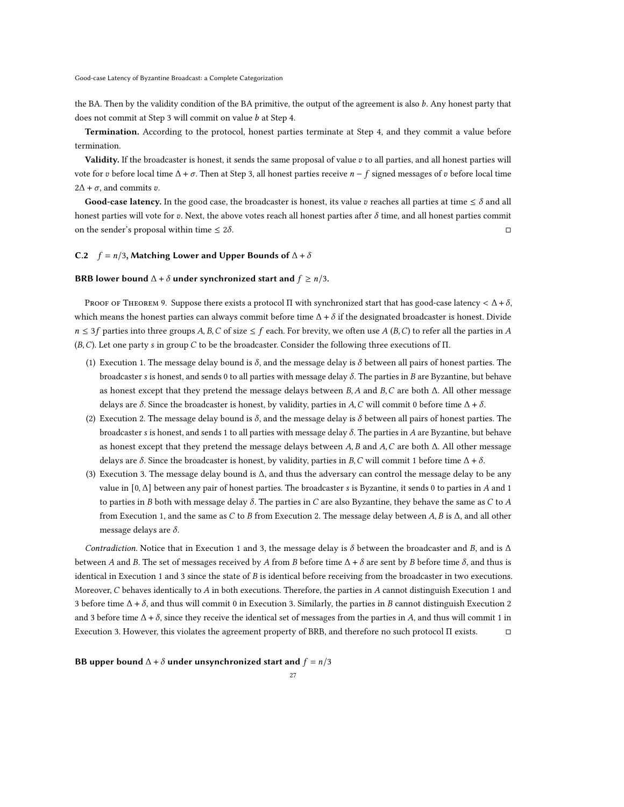the BA. Then by the validity condition of the BA primitive, the output of the agreement is also  $b$ . Any honest party that does not commit at Step [3](#page-25-2) will commit on value  $b$  at Step [4.](#page-25-1)

Termination. According to the protocol, honest parties terminate at Step [4,](#page-25-1) and they commit a value before termination.

Validity. If the broadcaster is honest, it sends the same proposal of value  $v$  to all parties, and all honest parties will vote for v before local time  $\Delta$  +  $\sigma$ . Then at Step [3,](#page-25-2) all honest parties receive  $n - f$  signed messages of v before local time  $2\Delta + \sigma$ , and commits  $v$ .

Good-case latency. In the good case, the broadcaster is honest, its value v reaches all parties at time  $\leq \delta$  and all honest parties will vote for v. Next, the above votes reach all honest parties after  $\delta$  time, and all honest parties commit on the sender's proposal within time  $\leq 2\delta$ . □

#### <span id="page-26-0"></span>C.2  $f = n/3$ , Matching Lower and Upper Bounds of  $\Delta + \delta$

#### BRB lower bound  $\Delta + \delta$  under synchronized start and  $f \ge n/3$ .

PROOF OF THEOREM [9.](#page-12-2) Suppose there exists a protocol Π with synchronized start that has good-case latency  $\lt \Delta + \delta$ , which means the honest parties can always commit before time  $\Delta + \delta$  if the designated broadcaster is honest. Divide  $n \leq 3f$  parties into three groups A, B, C of size  $\leq f$  each. For brevity, we often use A (B, C) to refer all the parties in A  $(B, C)$ . Let one party s in group C to be the broadcaster. Consider the following three executions of  $\Pi$ .

- (1) Execution 1. The message delay bound is  $\delta$ , and the message delay is  $\delta$  between all pairs of honest parties. The broadcaster s is honest, and sends 0 to all parties with message delay  $\delta$ . The parties in B are Byzantine, but behave as honest except that they pretend the message delays between  $B$ ,  $A$  and  $B$ ,  $C$  are both  $\Delta$ . All other message delays are  $\delta$ . Since the broadcaster is honest, by validity, parties in A, C will commit 0 before time  $\Delta + \delta$ .
- (2) Execution 2. The message delay bound is  $\delta$ , and the message delay is  $\delta$  between all pairs of honest parties. The broadcaster s is honest, and sends 1 to all parties with message delay  $\delta$ . The parties in A are Byzantine, but behave as honest except that they pretend the message delays between A, B and A, C are both  $\Delta$ . All other message delays are  $\delta$ . Since the broadcaster is honest, by validity, parties in B, C will commit 1 before time  $\Delta + \delta$ .
- <span id="page-26-1"></span>(3) Execution 3. The message delay bound is Δ, and thus the adversary can control the message delay to be any value in  $[0, \Delta]$  between any pair of honest parties. The broadcaster *s* is Byzantine, it sends 0 to parties in *A* and 1 to parties in *B* both with message delay  $\delta$ . The parties in *C* are also Byzantine, they behave the same as *C* to *A* from Execution 1, and the same as  $C$  to  $B$  from Execution 2. The message delay between  $A$ ,  $B$  is  $\Delta$ , and all other message delays are  $\delta$ .

Contradiction. Notice that in Execution 1 and 3, the message delay is  $\delta$  between the broadcaster and B, and is  $\Delta$ between A and B. The set of messages received by A from B before time  $\Delta + \delta$  are sent by B before time  $\delta$ , and thus is identical in Execution 1 and 3 since the state of  $B$  is identical before receiving from the broadcaster in two executions. Moreover,  $C$  behaves identically to  $A$  in both executions. Therefore, the parties in  $A$  cannot distinguish Execution 1 and 3 before time  $\Delta + \delta$ , and thus will commit 0 in Execution 3. Similarly, the parties in B cannot distinguish Execution 2 and 3 before time  $\Delta + \delta$ , since they receive the identical set of messages from the parties in A, and thus will commit 1 in Execution 3. However, this violates the agreement property of BRB, and therefore no such protocol Π exists. □

# BB upper bound  $\Delta + \delta$  under unsynchronized start and  $f = n/3$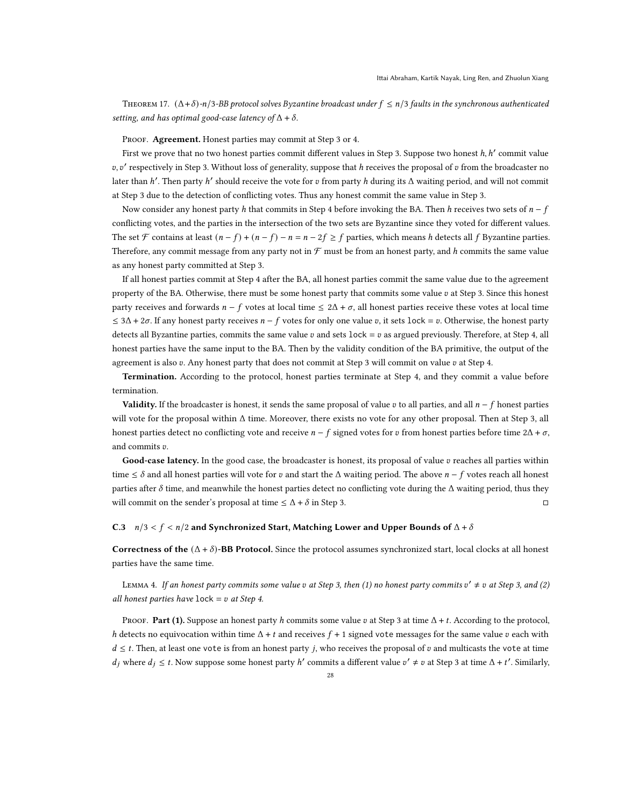THEOREM 17.  $(\Delta + \delta)$ - $n/3$ -BB protocol solves Byzantine broadcast under  $f \le n/3$  faults in the synchronous authenticated setting, and has optimal good-case latency of  $\Delta + \delta$ .

PROOF. Agreement. Honest parties may commit at Step [3](#page-13-2) or [4.](#page-13-3)

First we prove that no two honest parties commit different values in Step [3.](#page-13-2) Suppose two honest h, h' commit value  $v, v'$  respectively in Step [3.](#page-13-2) Without loss of generality, suppose that h receives the proposal of v from the broadcaster no later than h'. Then party h' should receive the vote for v from party h during its  $\Delta$  waiting period, and will not commit at Step [3](#page-13-2) due to the detection of conflicting votes. Thus any honest commit the same value in Step [3.](#page-13-2)

Now consider any honest party h that commits in Step [4](#page-13-3) before invoking the BA. Then h receives two sets of  $n - f$ conflicting votes, and the parties in the intersection of the two sets are Byzantine since they voted for different values. The set F contains at least  $(n - f) + (n - f) - n = n - 2f \ge f$  parties, which means h detects all f Byzantine parties. Therefore, any commit message from any party not in  $\mathcal F$  must be from an honest party, and h commits the same value as any honest party committed at Step [3.](#page-13-2)

If all honest parties commit at Step [4](#page-13-3) after the BA, all honest parties commit the same value due to the agreement property of the BA. Otherwise, there must be some honest party that commits some value  $v$  at Step [3.](#page-13-2) Since this honest party receives and forwards  $n - f$  votes at local time  $\leq 2\Delta + \sigma$ , all honest parties receive these votes at local time  $\leq 3\Delta + 2\sigma$ . If any honest party receives  $n - f$  votes for only one value v, it sets lock = v. Otherwise, the honest party detects all Byzantine parties, commits the same value  $v$  and sets lock =  $v$  as argued previously. Therefore, at Step [4,](#page-13-3) all honest parties have the same input to the BA. Then by the validity condition of the BA primitive, the output of the agreement is also  $v$ . Any honest party that does not commit at Step [3](#page-13-2) will commit on value  $v$  at Step [4.](#page-13-3)

Termination. According to the protocol, honest parties terminate at Step [4,](#page-25-1) and they commit a value before termination.

**Validity.** If the broadcaster is honest, it sends the same proposal of value  $v$  to all parties, and all  $n - f$  honest parties will vote for the proposal within Δ time. Moreover, there exists no vote for any other proposal. Then at Step [3,](#page-25-2) all honest parties detect no conflicting vote and receive  $n - f$  signed votes for v from honest parties before time  $2\Delta + \sigma$ , and commits  $v$ .

Good-case latency. In the good case, the broadcaster is honest, its proposal of value  $v$  reaches all parties within time  $\leq \delta$  and all honest parties will vote for v and start the  $\Delta$  waiting period. The above  $n - f$  votes reach all honest parties after  $\delta$  time, and meanwhile the honest parties detect no conflicting vote during the  $\Delta$  waiting period, thus they will commit on the sender's proposal at time  $\leq \Delta + \delta$  in Step [3.](#page-13-2) □

# <span id="page-27-0"></span>C.3  $n/3 < f < n/2$  and Synchronized Start, Matching Lower and Upper Bounds of  $\Delta + \delta$

Correctness of the  $(\Delta + \delta)$ -BB Protocol. Since the protocol assumes synchronized start, local clocks at all honest parties have the same time.

<span id="page-27-1"></span>LEMMA 4. If an honest party commits some value  $v$  at Step [3,](#page-14-3) then (1) no honest party commits  $v' \neq v$  at Step 3, and (2) all honest parties have  $lock = v$  at Step [4.](#page-14-4)

PROOF. Part (1). Suppose an honest party h commits some value v at Step [3](#page-14-3) at time  $\Delta + t$ . According to the protocol, h detects no equivocation within time  $\Delta + t$  and receives  $f + 1$  signed vote messages for the same value v each with  $d \leq t$ . Then, at least one vote is from an honest party j, who receives the proposal of v and multicasts the vote at time  $d_j$  where  $d_j \leq t$ . Now suppose some honest party h' commits a different value  $v' \neq v$  at Step [3](#page-14-3) at time  $\Delta + t'$ . Similarly,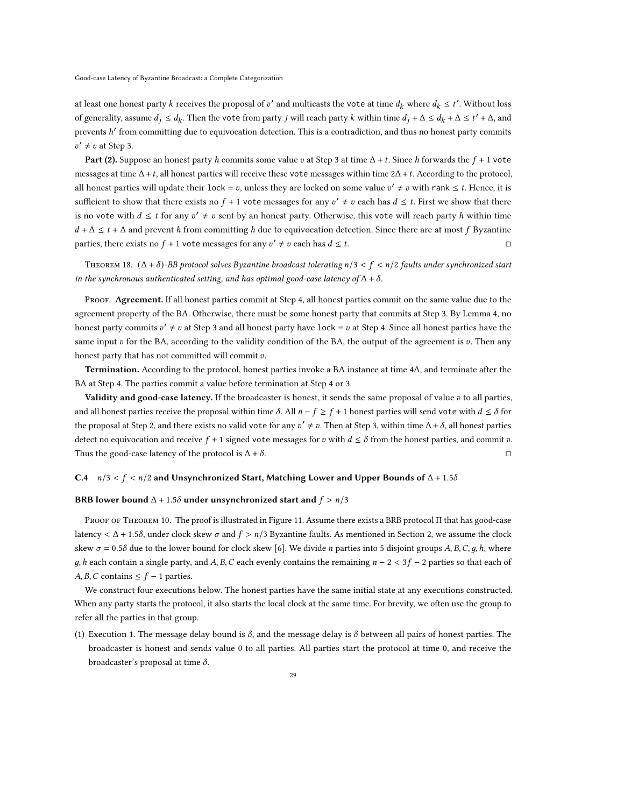at least one honest party  $k$  receives the proposal of  $v'$  and multicasts the vote at time  $d_k$  where  $d_k \leq t'$ . Without loss of generality, assume  $d_j \leq d_k$ . Then the vote from party j will reach party k within time  $d_j + \Delta \leq d_k + \Delta \leq t' + \Delta$ , and prevents  $h'$  from committing due to equivocation detection. This is a contradiction, and thus no honest party commits  $v' \neq v$  at Step [3.](#page-14-3)

Part (2). Suppose an honest party h commits some value v at Step [3](#page-14-3) at time  $\Delta$  + t. Since h forwards the  $f + 1$  vote messages at time  $\Delta + t$ , all honest parties will receive these vote messages within time  $2\Delta + t$ . According to the protocol, all honest parties will update their  $lock = v$ , unless they are locked on some value  $v' \neq v$  with rank  $\leq t$ . Hence, it is sufficient to show that there exists no  $f + 1$  vote messages for any  $v' \neq v$  each has  $d \leq t$ . First we show that there is no vote with  $d \leq t$  for any  $v' \neq v$  sent by an honest party. Otherwise, this vote will reach party h within time  $d + \Delta \leq t + \Delta$  and prevent h from committing h due to equivocation detection. Since there are at most f Byzantine parties, there exists no  $f + 1$  vote messages for any  $v' \neq v$  each has  $d \leq t$ .

<span id="page-28-0"></span>THEOREM 18.  $(\Delta + \delta)$ -BB protocol solves Byzantine broadcast tolerating  $n/3 < f < n/2$  faults under synchronized start in the synchronous authenticated setting, and has optimal good-case latency of  $\Delta + \delta$ .

PROOF. Agreement. If all honest parties commit at Step [4,](#page-14-4) all honest parties commit on the same value due to the agreement property of the BA. Otherwise, there must be some honest party that commits at Step [3.](#page-14-3) By Lemma [4,](#page-27-1) no honest party commits  $v' \neq v$  at Step [3](#page-14-3) and all honest party have lock =  $v$  at Step [4.](#page-14-4) Since all honest parties have the same input  $v$  for the BA, according to the validity condition of the BA, the output of the agreement is  $v$ . Then any honest party that has not committed will commit  $v$ .

Termination. According to the protocol, honest parties invoke a BA instance at time 4Δ, and terminate after the BA at Step [4.](#page-14-4) The parties commit a value before termination at Step [4](#page-14-4) or [3.](#page-14-3)

Validity and good-case latency. If the broadcaster is honest, it sends the same proposal of value  $v$  to all parties, and all honest parties receive the proposal within time  $\delta$ . All  $n - f \geq f + 1$  honest parties will send vote with  $d \leq \delta$  for the proposal at Step [2,](#page-14-5) and there exists no valid vote for any  $v' \neq v$ . Then at Step [3,](#page-14-3) within time  $\Delta + \delta$ , all honest parties detect no equivocation and receive  $f + 1$  signed vote messages for v with  $d \leq \delta$  from the honest parties, and commit v. Thus the good-case latency of the protocol is  $\Delta + \delta$ .

#### <span id="page-28-1"></span>C.4  $n/3 < f < n/2$  and Unsynchronized Start, Matching Lower and Upper Bounds of  $\Delta + 1.5\delta$

#### BRB lower bound  $\Delta$  + 1.5 $\delta$  under unsynchronized start and  $f > n/3$

Proof of Theorem [10.](#page-14-2) The proof is illustrated in Figure [11.](#page-29-0) Assume there exists a BRB protocol Π that has good-case latency  $\langle \Delta + 1.5\delta \rangle$ , under clock skew  $\sigma$  and  $f > n/3$  Byzantine faults. As mentioned in Section [2,](#page-2-0) we assume the clock skew  $\sigma = 0.5\delta$  due to the lower bound for clock skew [\[6\]](#page-20-14). We divide *n* parties into 5 disjoint groups A, B, C, g, h, where g, h each contain a single party, and A, B, C each evenly contains the remaining  $n - 2 < 3f - 2$  parties so that each of  $A, B, C$  contains  $\leq f - 1$  parties.

We construct four executions below. The honest parties have the same initial state at any executions constructed. When any party starts the protocol, it also starts the local clock at the same time. For brevity, we often use the group to refer all the parties in that group.

(1) Execution 1. The message delay bound is  $\delta$ , and the message delay is  $\delta$  between all pairs of honest parties. The broadcaster is honest and sends value 0 to all parties. All parties start the protocol at time 0, and receive the broadcaster's proposal at time  $\delta$ .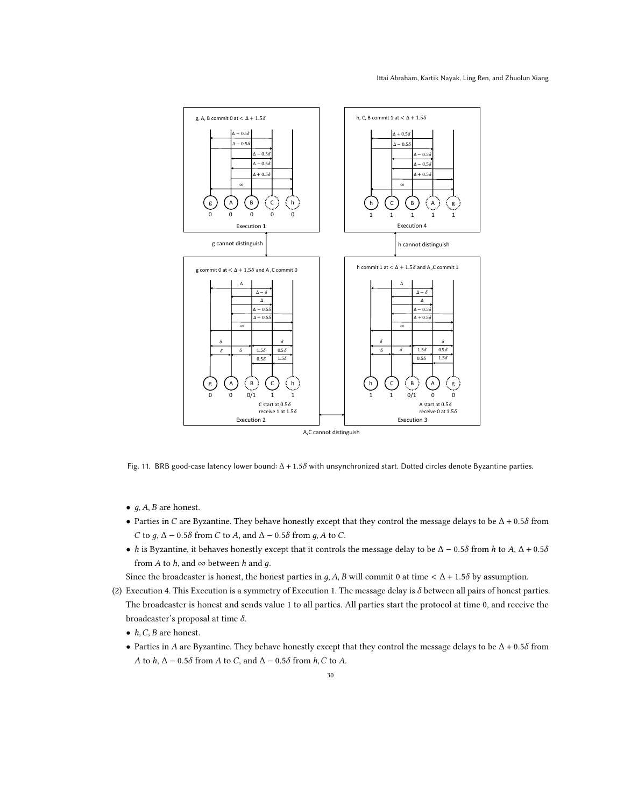<span id="page-29-0"></span>

Fig. 11. BRB good-case latency lower bound:  $Δ + 1.5δ$  with unsynchronized start. Dotted circles denote Byzantine parties.

- $g$ ,  $A$ ,  $B$  are honest.
- Parties in C are Byzantine. They behave honestly except that they control the message delays to be  $\Delta$  + 0.58 from C to  $q$ ,  $\Delta$  – 0.5 $\delta$  from C to A, and  $\Delta$  – 0.5 $\delta$  from  $q$ , A to C.
- h is Byzantine, it behaves honestly except that it controls the message delay to be  $\Delta 0.5\delta$  from h to  $A, \Delta + 0.5\delta$ from *A* to *h*, and  $\infty$  between *h* and *g*.

Since the broadcaster is honest, the honest parties in  $g$ , A, B will commit 0 at time  $\langle \Delta + 1.5 \delta \rangle$  by assumption.

- (2) Execution 4. This Execution is a symmetry of Execution 1. The message delay is  $\delta$  between all pairs of honest parties. The broadcaster is honest and sends value 1 to all parties. All parties start the protocol at time 0, and receive the broadcaster's proposal at time  $\delta$ .
	- $h, C, B$  are honest.
	- Parties in A are Byzantine. They behave honestly except that they control the message delays to be  $\Delta$  + 0.58 from A to  $h$ ,  $\Delta$  – 0.5 $\delta$  from A to C, and  $\Delta$  – 0.5 $\delta$  from  $h$ , C to A.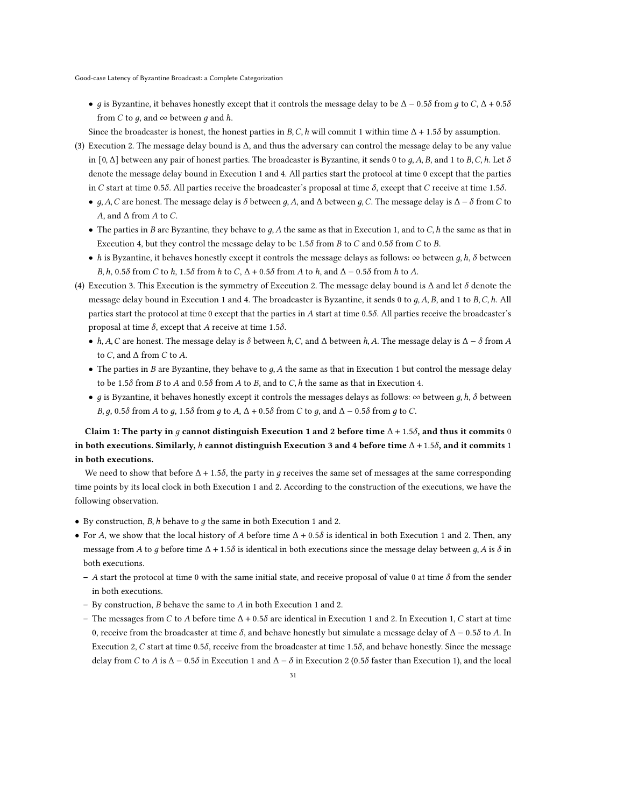• *g* is Byzantine, it behaves honestly except that it controls the message delay to be  $\Delta$  – 0.5 $\delta$  from *g* to C,  $\Delta$  + 0.5 $\delta$ from *C* to *q*, and  $\infty$  between *q* and *h*.

Since the broadcaster is honest, the honest parties in  $B, C, h$  will commit 1 within time  $\Delta + 1.5\delta$  by assumption.

- (3) Execution 2. The message delay bound is Δ, and thus the adversary can control the message delay to be any value in  $[0, \Delta]$  between any pair of honest parties. The broadcaster is Byzantine, it sends 0 to *g*, *A*, *B*, and 1 to *B*, *C*, *h*. Let  $\delta$ denote the message delay bound in Execution 1 and 4. All parties start the protocol at time 0 except that the parties in C start at time 0.5 $\delta$ . All parties receive the broadcaster's proposal at time  $\delta$ , except that C receive at time 1.5 $\delta$ .
	- $g, A, C$  are honest. The message delay is  $\delta$  between g, A, and  $\Delta$  between g, C. The message delay is  $\Delta \delta$  from C to A, and  $\Delta$  from A to C.
	- The parties in B are Byzantine, they behave to  $q$ , A the same as that in Execution 1, and to C, h the same as that in Execution 4, but they control the message delay to be 1.58 from B to C and 0.58 from C to B.
	- h is Byzantine, it behaves honestly except it controls the message delays as follows: ∞ between  $g, h, \delta$  between  $B, h, 0.5\delta$  from C to h, 1.5 $\delta$  from h to C,  $\Delta + 0.5\delta$  from A to h, and  $\Delta - 0.5\delta$  from h to A.
- (4) Execution 3. This Execution is the symmetry of Execution 2. The message delay bound is  $\Delta$  and let  $\delta$  denote the message delay bound in Execution 1 and 4. The broadcaster is Byzantine, it sends 0 to g, A, B, and 1 to B, C, h. All parties start the protocol at time 0 except that the parties in A start at time 0.58. All parties receive the broadcaster's proposal at time  $\delta$ , except that A receive at time 1.5 $\delta$ .
	- $h, A, C$  are honest. The message delay is  $\delta$  between  $h, C$ , and  $\Delta$  between  $h, A$ . The message delay is  $\Delta \delta$  from A to C, and  $\Delta$  from C to A.
	- The parties in  $B$  are Byzantine, they behave to  $q$ ,  $A$  the same as that in Execution 1 but control the message delay to be 1.5 $\delta$  from  $B$  to  $A$  and 0.5 $\delta$  from  $A$  to  $B$ , and to  $C$ ,  $h$  the same as that in Execution 4.
	- g is Byzantine, it behaves honestly except it controls the messages delays as follows:  $\infty$  between g, h,  $\delta$  between  $B, q, 0.5\delta$  from A to q, 1.5 $\delta$  from q to A,  $\Delta + 0.5\delta$  from C to q, and  $\Delta - 0.5\delta$  from q to C.

# Claim 1: The party in g cannot distinguish Execution 1 and 2 before time  $\Delta + 1.5\delta$ , and thus it commits 0 in both executions. Similarly, h cannot distinguish Execution 3 and 4 before time  $\Delta + 1.5\delta$ , and it commits 1 in both executions.

We need to show that before  $\Delta$  + 1.5 $\delta$ , the party in q receives the same set of messages at the same corresponding time points by its local clock in both Execution 1 and 2. According to the construction of the executions, we have the following observation.

- By construction,  $B$ ,  $h$  behave to  $g$  the same in both Execution 1 and 2.
- For A, we show that the local history of A before time  $\Delta$  + 0.58 is identical in both Execution 1 and 2. Then, any message from A to q before time  $\Delta$  + 1.5 $\delta$  is identical in both executions since the message delay between q, A is  $\delta$  in both executions.
	- A start the protocol at time 0 with the same initial state, and receive proposal of value 0 at time  $\delta$  from the sender in both executions.
	- By construction,  $B$  behave the same to  $A$  in both Execution 1 and 2.
	- The messages from C to A before time  $\Delta + 0.5\delta$  are identical in Execution 1 and 2. In Execution 1, C start at time 0, receive from the broadcaster at time  $\delta$ , and behave honestly but simulate a message delay of  $\Delta$  − 0.5 $\delta$  to A. In Execution 2, C start at time 0.5 $\delta$ , receive from the broadcaster at time 1.5 $\delta$ , and behave honestly. Since the message delay from C to A is  $\Delta$  – 0.5 $\delta$  in Execution 1 and  $\Delta$  –  $\delta$  in Execution 2 (0.5 $\delta$  faster than Execution 1), and the local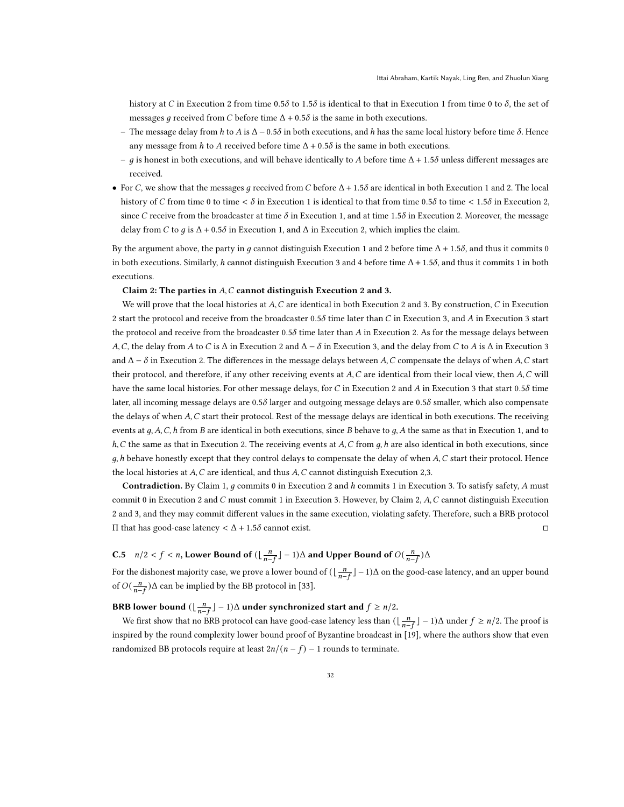history at C in Execution 2 from time 0.58 to 1.58 is identical to that in Execution 1 from time 0 to  $\delta$ , the set of messages q received from C before time  $\Delta$  + 0.5 $\delta$  is the same in both executions.

- The message delay from h to A is  $\Delta$  0.5 $\delta$  in both executions, and h has the same local history before time  $\delta$ . Hence any message from h to A received before time  $\Delta + 0.5\delta$  is the same in both executions.
- g is honest in both executions, and will behave identically to A before time  $\Delta$  + 1.5 $\delta$  unless different messages are received.
- For C, we show that the messages q received from C before  $\Delta$  + 1.58 are identical in both Execution 1 and 2. The local history of C from time 0 to time  $\langle \delta \rangle$  in Execution 1 is identical to that from time 0.58 to time  $\langle 1.5\delta \rangle$  in Execution 2, since C receive from the broadcaster at time  $\delta$  in Execution 1, and at time 1.5 $\delta$  in Execution 2. Moreover, the message delay from C to q is  $\Delta$  + 0.5 $\delta$  in Execution 1, and  $\Delta$  in Execution 2, which implies the claim.

By the argument above, the party in q cannot distinguish Execution 1 and 2 before time  $\Delta + 1.5\delta$ , and thus it commits 0 in both executions. Similarly, h cannot distinguish Execution 3 and 4 before time  $\Delta$  + 1.5 $\delta$ , and thus it commits 1 in both executions.

## Claim 2: The parties in  $A, C$  cannot distinguish Execution 2 and 3.

We will prove that the local histories at  $A, C$  are identical in both Execution 2 and 3. By construction,  $C$  in Execution 2 start the protocol and receive from the broadcaster 0.58 time later than C in Execution 3, and A in Execution 3 start the protocol and receive from the broadcaster 0.58 time later than A in Execution 2. As for the message delays between A, C, the delay from A to C is  $\Delta$  in Execution 2 and  $\Delta - \delta$  in Execution 3, and the delay from C to A is  $\Delta$  in Execution 3 and  $\Delta - \delta$  in Execution 2. The differences in the message delays between A, C compensate the delays of when A, C start their protocol, and therefore, if any other receiving events at  $A, C$  are identical from their local view, then  $A, C$  will have the same local histories. For other message delays, for  $C$  in Execution 2 and  $A$  in Execution 3 that start 0.5 $\delta$  time later, all incoming message delays are  $0.5\delta$  larger and outgoing message delays are  $0.5\delta$  smaller, which also compensate the delays of when  $A, C$  start their protocol. Rest of the message delays are identical in both executions. The receiving events at  $q, A, C, h$  from B are identical in both executions, since B behave to  $q, A$  the same as that in Execution 1, and to  $h, C$  the same as that in Execution 2. The receiving events at  $A, C$  from  $g, h$  are also identical in both executions, since  $q$ , h behave honestly except that they control delays to compensate the delay of when  $A$ ,  $C$  start their protocol. Hence the local histories at  $A, C$  are identical, and thus  $A, C$  cannot distinguish Execution 2,3.

Contradiction. By Claim 1,  $q$  commits 0 in Execution 2 and  $h$  commits 1 in Execution 3. To satisfy safety,  $A$  must commit 0 in Execution 2 and  $C$  must commit 1 in Execution 3. However, by Claim 2,  $A, C$  cannot distinguish Execution 2 and 3, and they may commit different values in the same execution, violating safety. Therefore, such a BRB protocol  $\Pi$  that has good-case latency  $\langle \Delta + 1.5 \delta \rangle$  cannot exist.  $\Box$ 

# <span id="page-31-0"></span>C.5  $n/2 < f < n$ , Lower Bound of  $(\lfloor \frac{n}{n-f} \rfloor - 1)\Delta$  and Upper Bound of  $O(\frac{n}{n-f})\Delta$

For the dishonest majority case, we prove a lower bound of  $(\lfloor \frac{n}{n-f}\rfloor -1)\Delta$  on the good-case latency, and an upper bound of  $O(\frac{n}{n-f})\Delta$  can be implied by the BB protocol in [\[33\]](#page-21-0).

# BRB lower bound  $(\lfloor \frac{n}{n-f} \rfloor - 1) \Delta$  under synchronized start and  $f \ge n/2$ .

We first show that no BRB protocol can have good-case latency less than  $(\lfloor \frac{n}{n-f} \rfloor - 1)\Delta$  under  $f \ge n/2$ . The proof is inspired by the round complexity lower bound proof of Byzantine broadcast in [\[19\]](#page-20-26), where the authors show that even randomized BB protocols require at least  $2n/(n - f) - 1$  rounds to terminate.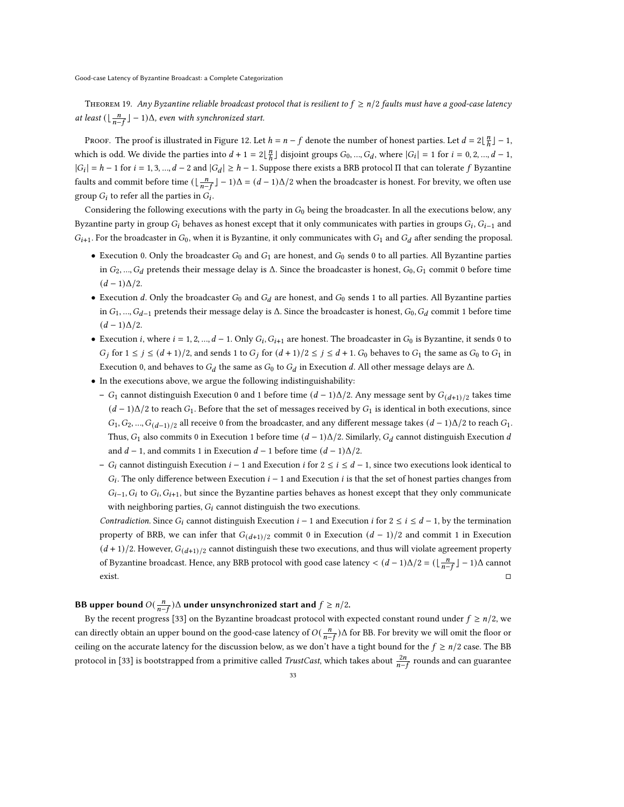THEOREM 19. Any Byzantine reliable broadcast protocol that is resilient to  $f \ge n/2$  faults must have a good-case latency at least  $(\lfloor \frac{n}{n-f} \rfloor - 1)\Delta$ , even with synchronized start.

Proof. The proof is illustrated in Figure [12.](#page-33-0) Let  $h = n - f$  denote the number of honest parties. Let  $d = 2\lfloor \frac{n}{h}\rfloor - 1$ , which is odd. We divide the parties into  $d + 1 = 2\lfloor \frac{n}{h} \rfloor$  disjoint groups  $G_0, ..., G_d$ , where  $|G_i| = 1$  for  $i = 0, 2, ..., d - 1$ ,  $|G_i| = h - 1$  for  $i = 1, 3, ..., d - 2$  and  $|G_d| \ge h - 1$ . Suppose there exists a BRB protocol  $\Pi$  that can tolerate f Byzantine faults and commit before time  $(\lfloor \frac{n}{n-f} \rfloor - 1)\Delta = (d-1)\Delta/2$  when the broadcaster is honest. For brevity, we often use group  $G_i$  to refer all the parties in  $\tilde{G}_i$ .

Considering the following executions with the party in  $G_0$  being the broadcaster. In all the executions below, any Byzantine party in group  $G_i$  behaves as honest except that it only communicates with parties in groups  $G_i$ ,  $G_{i-1}$  and  $G_{i+1}$ . For the broadcaster in  $G_0$ , when it is Byzantine, it only communicates with  $G_1$  and  $G_d$  after sending the proposal.

- Execution 0. Only the broadcaster  $G_0$  and  $G_1$  are honest, and  $G_0$  sends 0 to all parties. All Byzantine parties in  $G_2, ..., G_d$  pretends their message delay is  $\Delta$ . Since the broadcaster is honest,  $G_0, G_1$  commit 0 before time  $(d-1)\Delta/2$ .
- Execution d. Only the broadcaster  $G_0$  and  $G_d$  are honest, and  $G_0$  sends 1 to all parties. All Byzantine parties in  $G_1, ..., G_{d-1}$  pretends their message delay is  $\Delta$ . Since the broadcaster is honest,  $G_0, G_d$  commit 1 before time  $(d-1)\Delta/2$ .
- Execution *i*, where  $i = 1, 2, ..., d 1$ . Only  $G_i$ ,  $G_{i+1}$  are honest. The broadcaster in  $G_0$  is Byzantine, it sends 0 to  $G_j$  for  $1 \le j \le (d+1)/2$ , and sends 1 to  $G_j$  for  $(d+1)/2 \le j \le d+1$ .  $G_0$  behaves to  $G_1$  the same as  $G_0$  to  $G_1$  in Execution 0, and behaves to  $G_d$  the same as  $G_0$  to  $G_d$  in Execution d. All other message delays are  $\Delta$ .
- In the executions above, we argue the following indistinguishability:
	- $G_1$  cannot distinguish Execution 0 and 1 before time  $(d-1)\Delta/2$ . Any message sent by  $G_{(d+1)/2}$  takes time  $(d-1)\Delta/2$  to reach  $G_1$ . Before that the set of messages received by  $G_1$  is identical in both executions, since  $G_1, G_2, ..., G_{(d-1)/2}$  all receive 0 from the broadcaster, and any different message takes  $(d-1)\Delta/2$  to reach  $G_1$ . Thus,  $G_1$  also commits 0 in Execution 1 before time  $(d-1)\Delta/2$ . Similarly,  $G_d$  cannot distinguish Execution d and  $d - 1$ , and commits 1 in Execution  $d - 1$  before time  $(d - 1)\Delta/2$ .
	- $G_i$  cannot distinguish Execution  $i-1$  and Execution  $i$  for  $2 \le i \le d-1$ , since two executions look identical to  $G_i$ . The only difference between Execution  $i-1$  and Execution  $i$  is that the set of honest parties changes from  $G_{i-1}$ ,  $G_i$  to  $G_i$ ,  $G_{i+1}$ , but since the Byzantine parties behaves as honest except that they only communicate with neighboring parties,  $G_i$  cannot distinguish the two executions.

Contradiction. Since  $G_i$  cannot distinguish Execution  $i-1$  and Execution  $i$  for  $2 \le i \le d-1$ , by the termination property of BRB, we can infer that  $G_{(d+1)/2}$  commit 0 in Execution  $(d-1)/2$  and commit 1 in Execution  $(d+1)/2$ . However,  $G_{(d+1)/2}$  cannot distinguish these two executions, and thus will violate agreement property of Byzantine broadcast. Hence, any BRB protocol with good case latency  $\lt (d-1)\Delta/2 = (\lfloor \frac{n}{n-f} \rfloor - 1)\Delta$  cannot exist. □

BB upper bound  $O(\frac{n}{n-f})\Delta$  under unsynchronized start and  $f \geq n/2$ .

By the recent progress [\[33\]](#page-21-0) on the Byzantine broadcast protocol with expected constant round under  $f \ge n/2$ , we can directly obtain an upper bound on the good-case latency of  $O(\frac{n}{n-f})\Delta$  for BB. For brevity we will omit the floor or ceiling on the accurate latency for the discussion below, as we don't have a tight bound for the  $f \ge n/2$  case. The BB protocol in [\[33\]](#page-21-0) is bootstrapped from a primitive called *TrustCast*, which takes about  $\frac{2n}{n-f}$  rounds and can guarantee